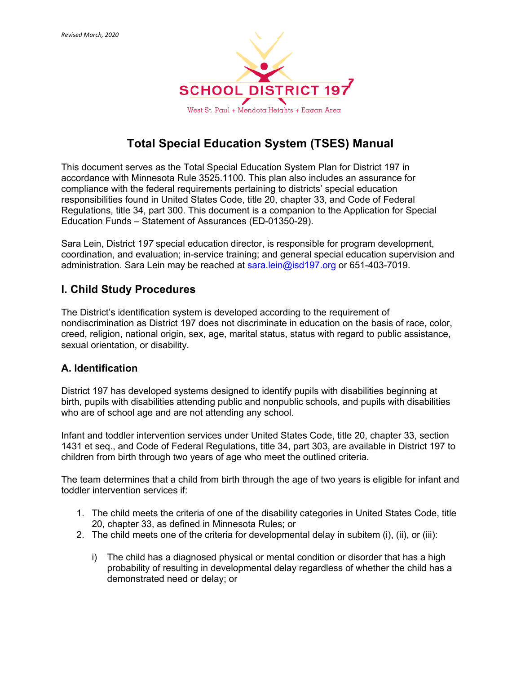

# **Total Special Education System (TSES) Manual**

This document serves as the Total Special Education System Plan for District 197 in accordance with Minnesota Rule 3525.1100. This plan also includes an assurance for compliance with the federal requirements pertaining to districts' special education responsibilities found in United States Code, title 20, chapter 33, and Code of Federal Regulations, title 34, part 300. This document is a companion to the Application for Special Education Funds – Statement of Assurances (ED-01350-29).

Sara Lein, District 1*97* special education director, is responsible for program development, coordination, and evaluation; in-service training; and general special education supervision and administration. Sara Lein may be reached at sara.lein@isd197.org or 651-403-7019.

# **I. Child Study Procedures**

The District's identification system is developed according to the requirement of nondiscrimination as District 197 does not discriminate in education on the basis of race, color, creed, religion, national origin, sex, age, marital status, status with regard to public assistance, sexual orientation, or disability.

## **A. Identification**

District 197 has developed systems designed to identify pupils with disabilities beginning at birth, pupils with disabilities attending public and nonpublic schools, and pupils with disabilities who are of school age and are not attending any school.

Infant and toddler intervention services under United States Code, title 20, chapter 33, section 1431 et seq., and Code of Federal Regulations, title 34, part 303, are available in District 197 to children from birth through two years of age who meet the outlined criteria.

The team determines that a child from birth through the age of two years is eligible for infant and toddler intervention services if:

- 1. The child meets the criteria of one of the disability categories in United States Code, title 20, chapter 33, as defined in Minnesota Rules; or
- 2. The child meets one of the criteria for developmental delay in subitem (i), (ii), or (iii):
	- i) The child has a diagnosed physical or mental condition or disorder that has a high probability of resulting in developmental delay regardless of whether the child has a demonstrated need or delay; or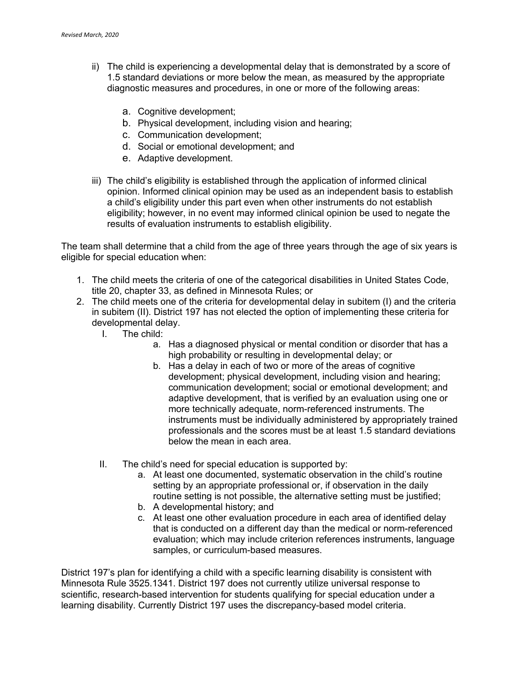- ii) The child is experiencing a developmental delay that is demonstrated by a score of 1.5 standard deviations or more below the mean, as measured by the appropriate diagnostic measures and procedures, in one or more of the following areas:
	- a. Cognitive development;
	- b. Physical development, including vision and hearing;
	- c. Communication development;
	- d. Social or emotional development; and
	- e. Adaptive development.
- iii) The child's eligibility is established through the application of informed clinical opinion. Informed clinical opinion may be used as an independent basis to establish a child's eligibility under this part even when other instruments do not establish eligibility; however, in no event may informed clinical opinion be used to negate the results of evaluation instruments to establish eligibility.

The team shall determine that a child from the age of three years through the age of six years is eligible for special education when:

- 1. The child meets the criteria of one of the categorical disabilities in United States Code, title 20, chapter 33, as defined in Minnesota Rules; or
- 2. The child meets one of the criteria for developmental delay in subitem (I) and the criteria in subitem (II). District 197 has not elected the option of implementing these criteria for developmental delay.
	- I. The child:
		- a. Has a diagnosed physical or mental condition or disorder that has a high probability or resulting in developmental delay; or
		- b. Has a delay in each of two or more of the areas of cognitive development; physical development, including vision and hearing; communication development; social or emotional development; and adaptive development, that is verified by an evaluation using one or more technically adequate, norm-referenced instruments. The instruments must be individually administered by appropriately trained professionals and the scores must be at least 1.5 standard deviations below the mean in each area.
	- II. The child's need for special education is supported by:
		- a. At least one documented, systematic observation in the child's routine setting by an appropriate professional or, if observation in the daily routine setting is not possible, the alternative setting must be justified;
		- b. A developmental history; and
		- c. At least one other evaluation procedure in each area of identified delay that is conducted on a different day than the medical or norm-referenced evaluation; which may include criterion references instruments, language samples, or curriculum-based measures.

District 197's plan for identifying a child with a specific learning disability is consistent with Minnesota Rule 3525.1341. District 197 does not currently utilize universal response to scientific, research-based intervention for students qualifying for special education under a learning disability. Currently District 197 uses the discrepancy-based model criteria.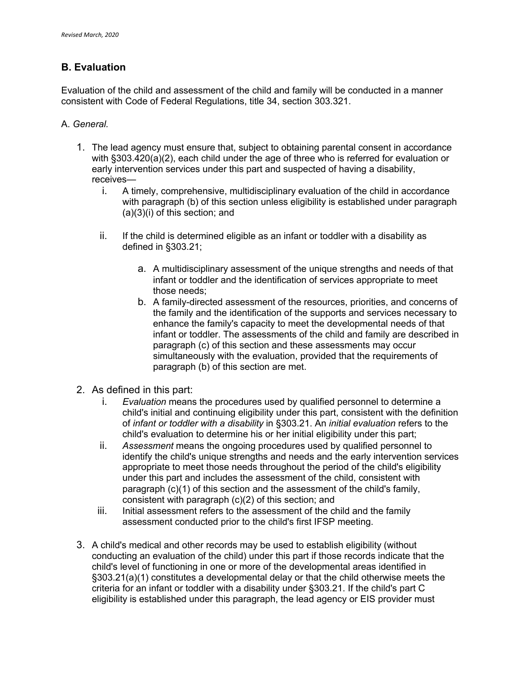## **B. Evaluation**

Evaluation of the child and assessment of the child and family will be conducted in a manner consistent with Code of Federal Regulations, title 34, section 303.321.

#### A. *General.*

- 1. The lead agency must ensure that, subject to obtaining parental consent in accordance with §303.420(a)(2), each child under the age of three who is referred for evaluation or early intervention services under this part and suspected of having a disability, receives
	- i. A timely, comprehensive, multidisciplinary evaluation of the child in accordance with paragraph (b) of this section unless eligibility is established under paragraph (a)(3)(i) of this section; and
	- ii. If the child is determined eligible as an infant or toddler with a disability as defined in §303.21;
		- a. A multidisciplinary assessment of the unique strengths and needs of that infant or toddler and the identification of services appropriate to meet those needs;
		- b. A family-directed assessment of the resources, priorities, and concerns of the family and the identification of the supports and services necessary to enhance the family's capacity to meet the developmental needs of that infant or toddler. The assessments of the child and family are described in paragraph (c) of this section and these assessments may occur simultaneously with the evaluation, provided that the requirements of paragraph (b) of this section are met.
- 2. As defined in this part:
	- i. *Evaluation* means the procedures used by qualified personnel to determine a child's initial and continuing eligibility under this part, consistent with the definition of *infant or toddler with a disability* in §303.21. An *initial evaluation* refers to the child's evaluation to determine his or her initial eligibility under this part;
	- ii. *Assessment* means the ongoing procedures used by qualified personnel to identify the child's unique strengths and needs and the early intervention services appropriate to meet those needs throughout the period of the child's eligibility under this part and includes the assessment of the child, consistent with paragraph (c)(1) of this section and the assessment of the child's family, consistent with paragraph (c)(2) of this section; and
	- iii. Initial assessment refers to the assessment of the child and the family assessment conducted prior to the child's first IFSP meeting.
- 3. A child's medical and other records may be used to establish eligibility (without conducting an evaluation of the child) under this part if those records indicate that the child's level of functioning in one or more of the developmental areas identified in §303.21(a)(1) constitutes a developmental delay or that the child otherwise meets the criteria for an infant or toddler with a disability under §303.21. If the child's part C eligibility is established under this paragraph, the lead agency or EIS provider must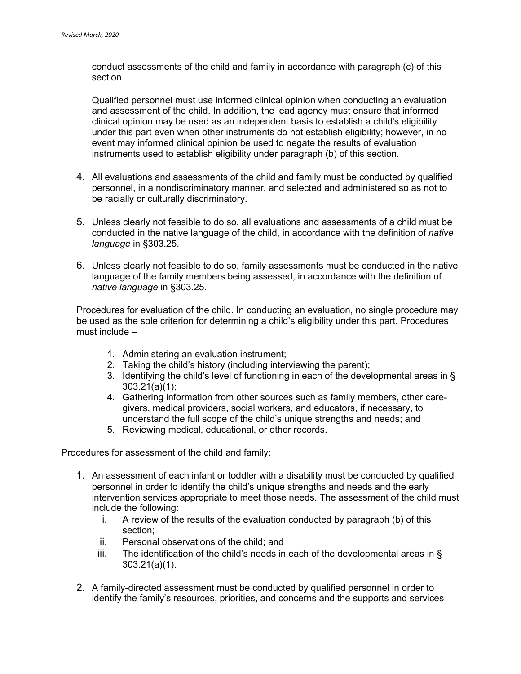conduct assessments of the child and family in accordance with paragraph (c) of this section.

Qualified personnel must use informed clinical opinion when conducting an evaluation and assessment of the child. In addition, the lead agency must ensure that informed clinical opinion may be used as an independent basis to establish a child's eligibility under this part even when other instruments do not establish eligibility; however, in no event may informed clinical opinion be used to negate the results of evaluation instruments used to establish eligibility under paragraph (b) of this section.

- 4. All evaluations and assessments of the child and family must be conducted by qualified personnel, in a nondiscriminatory manner, and selected and administered so as not to be racially or culturally discriminatory.
- 5. Unless clearly not feasible to do so, all evaluations and assessments of a child must be conducted in the native language of the child, in accordance with the definition of *native language* in §303.25.
- 6. Unless clearly not feasible to do so, family assessments must be conducted in the native language of the family members being assessed, in accordance with the definition of *native language* in §303.25.

Procedures for evaluation of the child. In conducting an evaluation, no single procedure may be used as the sole criterion for determining a child's eligibility under this part. Procedures must include –

- 1. Administering an evaluation instrument;
- 2. Taking the child's history (including interviewing the parent);
- 3. Identifying the child's level of functioning in each of the developmental areas in § 303.21(a)(1);
- 4. Gathering information from other sources such as family members, other caregivers, medical providers, social workers, and educators, if necessary, to understand the full scope of the child's unique strengths and needs; and
- 5. Reviewing medical, educational, or other records.

Procedures for assessment of the child and family:

- 1. An assessment of each infant or toddler with a disability must be conducted by qualified personnel in order to identify the child's unique strengths and needs and the early intervention services appropriate to meet those needs. The assessment of the child must include the following:
	- i. A review of the results of the evaluation conducted by paragraph (b) of this section;
	- ii. Personal observations of the child; and
	- iii. The identification of the child's needs in each of the developmental areas in  $\delta$ 303.21(a)(1).
- 2. A family-directed assessment must be conducted by qualified personnel in order to identify the family's resources, priorities, and concerns and the supports and services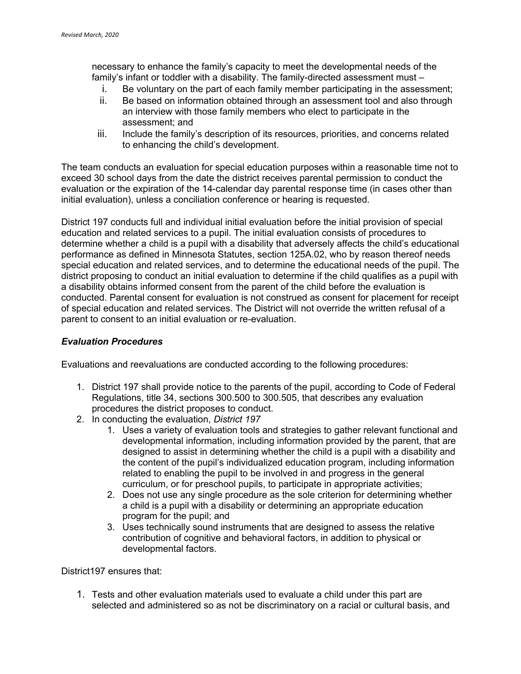necessary to enhance the family's capacity to meet the developmental needs of the family's infant or toddler with a disability. The family-directed assessment must –

- i. Be voluntary on the part of each family member participating in the assessment;
- ii. Be based on information obtained through an assessment tool and also through an interview with those family members who elect to participate in the assessment; and
- iii. Include the family's description of its resources, priorities, and concerns related to enhancing the child's development.

The team conducts an evaluation for special education purposes within a reasonable time not to exceed 30 school days from the date the district receives parental permission to conduct the evaluation or the expiration of the 14-calendar day parental response time (in cases other than initial evaluation), unless a conciliation conference or hearing is requested.

District 197 conducts full and individual initial evaluation before the initial provision of special education and related services to a pupil. The initial evaluation consists of procedures to determine whether a child is a pupil with a disability that adversely affects the child's educational performance as defined in Minnesota Statutes, section 125A.02, who by reason thereof needs special education and related services, and to determine the educational needs of the pupil. The district proposing to conduct an initial evaluation to determine if the child qualifies as a pupil with a disability obtains informed consent from the parent of the child before the evaluation is conducted. Parental consent for evaluation is not construed as consent for placement for receipt of special education and related services. The District will not override the written refusal of a parent to consent to an initial evaluation or re-evaluation.

#### *Evaluation Procedures*

Evaluations and reevaluations are conducted according to the following procedures:

- 1. District 197 shall provide notice to the parents of the pupil, according to Code of Federal Regulations, title 34, sections 300.500 to 300.505, that describes any evaluation procedures the district proposes to conduct.
- 2. In conducting the evaluation, *District 197* 
	- 1. Uses a variety of evaluation tools and strategies to gather relevant functional and developmental information, including information provided by the parent, that are designed to assist in determining whether the child is a pupil with a disability and the content of the pupil's individualized education program, including information related to enabling the pupil to be involved in and progress in the general curriculum, or for preschool pupils, to participate in appropriate activities;
	- 2. Does not use any single procedure as the sole criterion for determining whether a child is a pupil with a disability or determining an appropriate education program for the pupil; and
	- 3. Uses technically sound instruments that are designed to assess the relative contribution of cognitive and behavioral factors, in addition to physical or developmental factors.

District197 ensures that:

1. Tests and other evaluation materials used to evaluate a child under this part are selected and administered so as not be discriminatory on a racial or cultural basis, and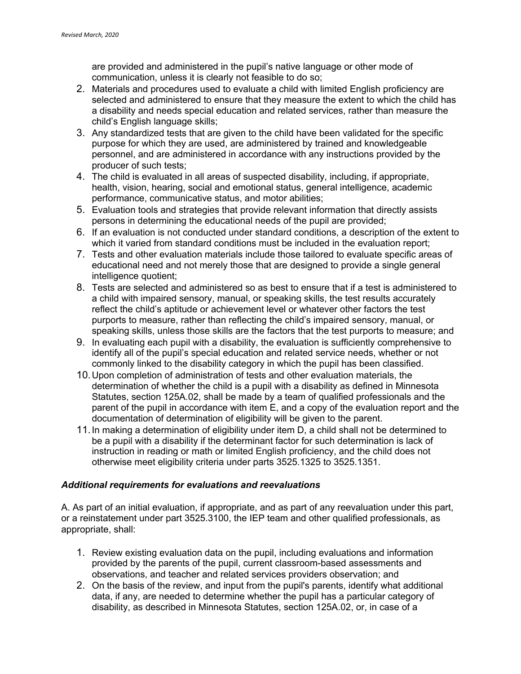are provided and administered in the pupil's native language or other mode of communication, unless it is clearly not feasible to do so;

- 2. Materials and procedures used to evaluate a child with limited English proficiency are selected and administered to ensure that they measure the extent to which the child has a disability and needs special education and related services, rather than measure the child's English language skills;
- 3. Any standardized tests that are given to the child have been validated for the specific purpose for which they are used, are administered by trained and knowledgeable personnel, and are administered in accordance with any instructions provided by the producer of such tests;
- 4. The child is evaluated in all areas of suspected disability, including, if appropriate, health, vision, hearing, social and emotional status, general intelligence, academic performance, communicative status, and motor abilities;
- 5. Evaluation tools and strategies that provide relevant information that directly assists persons in determining the educational needs of the pupil are provided;
- 6. If an evaluation is not conducted under standard conditions, a description of the extent to which it varied from standard conditions must be included in the evaluation report;
- 7. Tests and other evaluation materials include those tailored to evaluate specific areas of educational need and not merely those that are designed to provide a single general intelligence quotient;
- 8. Tests are selected and administered so as best to ensure that if a test is administered to a child with impaired sensory, manual, or speaking skills, the test results accurately reflect the child's aptitude or achievement level or whatever other factors the test purports to measure, rather than reflecting the child's impaired sensory, manual, or speaking skills, unless those skills are the factors that the test purports to measure; and
- 9. In evaluating each pupil with a disability, the evaluation is sufficiently comprehensive to identify all of the pupil's special education and related service needs, whether or not commonly linked to the disability category in which the pupil has been classified.
- 10.Upon completion of administration of tests and other evaluation materials, the determination of whether the child is a pupil with a disability as defined in Minnesota Statutes, section 125A.02, shall be made by a team of qualified professionals and the parent of the pupil in accordance with item E, and a copy of the evaluation report and the documentation of determination of eligibility will be given to the parent.
- 11.In making a determination of eligibility under item D, a child shall not be determined to be a pupil with a disability if the determinant factor for such determination is lack of instruction in reading or math or limited English proficiency, and the child does not otherwise meet eligibility criteria under parts 3525.1325 to 3525.1351.

#### *Additional requirements for evaluations and reevaluations*

A. As part of an initial evaluation, if appropriate, and as part of any reevaluation under this part, or a reinstatement under part 3525.3100, the IEP team and other qualified professionals, as appropriate, shall:

- 1. Review existing evaluation data on the pupil, including evaluations and information provided by the parents of the pupil, current classroom-based assessments and observations, and teacher and related services providers observation; and
- 2. On the basis of the review, and input from the pupil's parents, identify what additional data, if any, are needed to determine whether the pupil has a particular category of disability, as described in Minnesota Statutes, section 125A.02, or, in case of a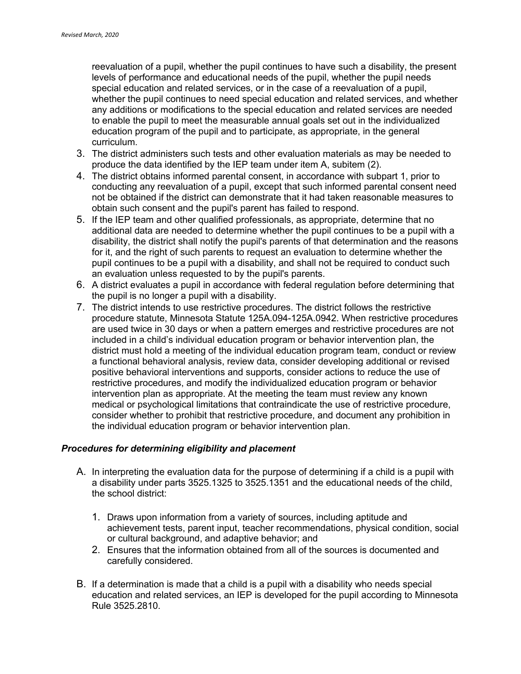reevaluation of a pupil, whether the pupil continues to have such a disability, the present levels of performance and educational needs of the pupil, whether the pupil needs special education and related services, or in the case of a reevaluation of a pupil, whether the pupil continues to need special education and related services, and whether any additions or modifications to the special education and related services are needed to enable the pupil to meet the measurable annual goals set out in the individualized education program of the pupil and to participate, as appropriate, in the general curriculum.

- 3. The district administers such tests and other evaluation materials as may be needed to produce the data identified by the IEP team under item A, subitem (2).
- 4. The district obtains informed parental consent, in accordance with subpart 1, prior to conducting any reevaluation of a pupil, except that such informed parental consent need not be obtained if the district can demonstrate that it had taken reasonable measures to obtain such consent and the pupil's parent has failed to respond.
- 5. If the IEP team and other qualified professionals, as appropriate, determine that no additional data are needed to determine whether the pupil continues to be a pupil with a disability, the district shall notify the pupil's parents of that determination and the reasons for it, and the right of such parents to request an evaluation to determine whether the pupil continues to be a pupil with a disability, and shall not be required to conduct such an evaluation unless requested to by the pupil's parents.
- 6. A district evaluates a pupil in accordance with federal regulation before determining that the pupil is no longer a pupil with a disability.
- 7. The district intends to use restrictive procedures. The district follows the restrictive procedure statute, Minnesota Statute 125A.094-125A.0942. When restrictive procedures are used twice in 30 days or when a pattern emerges and restrictive procedures are not included in a child's individual education program or behavior intervention plan, the district must hold a meeting of the individual education program team, conduct or review a functional behavioral analysis, review data, consider developing additional or revised positive behavioral interventions and supports, consider actions to reduce the use of restrictive procedures, and modify the individualized education program or behavior intervention plan as appropriate. At the meeting the team must review any known medical or psychological limitations that contraindicate the use of restrictive procedure, consider whether to prohibit that restrictive procedure, and document any prohibition in the individual education program or behavior intervention plan.

#### *Procedures for determining eligibility and placement*

- A. In interpreting the evaluation data for the purpose of determining if a child is a pupil with a disability under parts 3525.1325 to 3525.1351 and the educational needs of the child, the school district:
	- 1. Draws upon information from a variety of sources, including aptitude and achievement tests, parent input, teacher recommendations, physical condition, social or cultural background, and adaptive behavior; and
	- 2. Ensures that the information obtained from all of the sources is documented and carefully considered.
- B. If a determination is made that a child is a pupil with a disability who needs special education and related services, an IEP is developed for the pupil according to Minnesota Rule 3525.2810.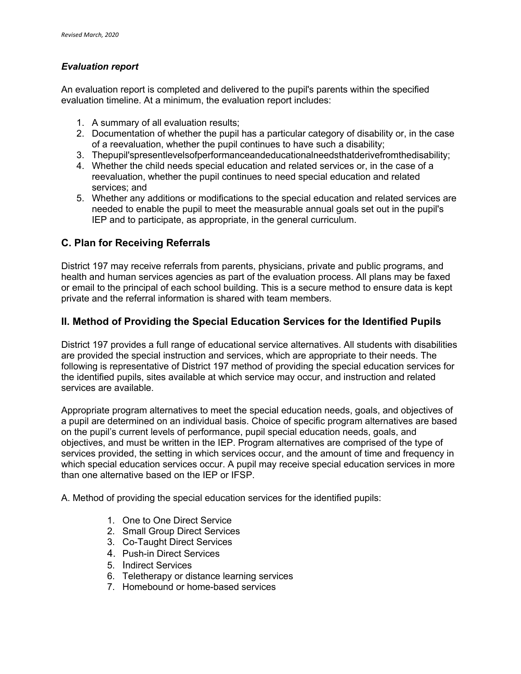#### *Evaluation report*

An evaluation report is completed and delivered to the pupil's parents within the specified evaluation timeline. At a minimum, the evaluation report includes:

- 1. A summary of all evaluation results;
- 2. Documentation of whether the pupil has a particular category of disability or, in the case of a reevaluation, whether the pupil continues to have such a disability;
- 3. Thepupil'spresentlevelsofperformanceandeducationalneedsthatderivefromthedisability;
- 4. Whether the child needs special education and related services or, in the case of a reevaluation, whether the pupil continues to need special education and related services; and
- 5. Whether any additions or modifications to the special education and related services are needed to enable the pupil to meet the measurable annual goals set out in the pupil's IEP and to participate, as appropriate, in the general curriculum.

## **C. Plan for Receiving Referrals**

District 197 may receive referrals from parents, physicians, private and public programs, and health and human services agencies as part of the evaluation process. All plans may be faxed or email to the principal of each school building. This is a secure method to ensure data is kept private and the referral information is shared with team members.

## **II. Method of Providing the Special Education Services for the Identified Pupils**

District 197 provides a full range of educational service alternatives. All students with disabilities are provided the special instruction and services, which are appropriate to their needs. The following is representative of District 197 method of providing the special education services for the identified pupils, sites available at which service may occur, and instruction and related services are available.

Appropriate program alternatives to meet the special education needs, goals, and objectives of a pupil are determined on an individual basis. Choice of specific program alternatives are based on the pupil's current levels of performance, pupil special education needs, goals, and objectives, and must be written in the IEP. Program alternatives are comprised of the type of services provided, the setting in which services occur, and the amount of time and frequency in which special education services occur. A pupil may receive special education services in more than one alternative based on the IEP or IFSP.

A. Method of providing the special education services for the identified pupils:

- 1. One to One Direct Service
- 2. Small Group Direct Services
- 3. Co-Taught Direct Services
- 4. Push-in Direct Services
- 5. Indirect Services
- 6. Teletherapy or distance learning services
- 7. Homebound or home-based services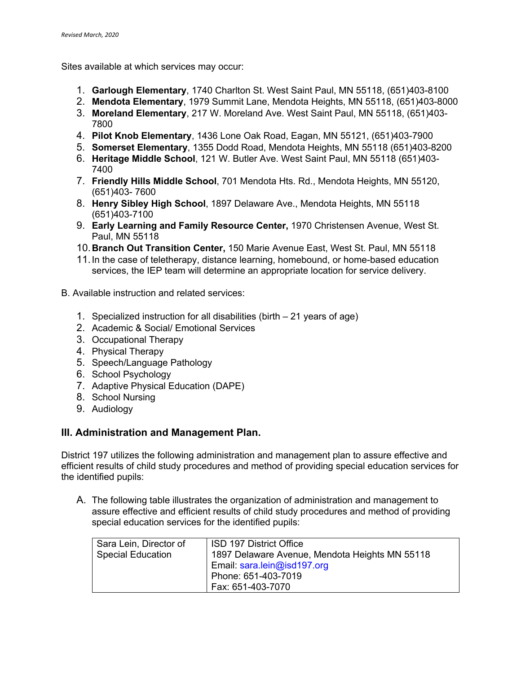Sites available at which services may occur:

- 1. **Garlough Elementary**, 1740 Charlton St. West Saint Paul, MN 55118, (651)403-8100
- 2. **Mendota Elementary**, 1979 Summit Lane, Mendota Heights, MN 55118, (651)403-8000
- 3. **Moreland Elementary**, 217 W. Moreland Ave. West Saint Paul, MN 55118, (651)403- 7800
- 4. **Pilot Knob Elementary**, 1436 Lone Oak Road, Eagan, MN 55121, (651)403-7900
- 5. **Somerset Elementary**, 1355 Dodd Road, Mendota Heights, MN 55118 (651)403-8200
- 6. **Heritage Middle School**, 121 W. Butler Ave. West Saint Paul, MN 55118 (651)403- 7400
- 7. **Friendly Hills Middle School**, 701 Mendota Hts. Rd., Mendota Heights, MN 55120, (651)403- 7600
- 8. **Henry Sibley High School**, 1897 Delaware Ave., Mendota Heights, MN 55118 (651)403-7100
- 9. **Early Learning and Family Resource Center,** 1970 Christensen Avenue, West St. Paul, MN 55118
- 10.**Branch Out Transition Center,** 150 Marie Avenue East, West St. Paul, MN 55118
- 11.In the case of teletherapy, distance learning, homebound, or home-based education services, the IEP team will determine an appropriate location for service delivery.
- B. Available instruction and related services:
	- 1. Specialized instruction for all disabilities (birth 21 years of age)
	- 2. Academic & Social/ Emotional Services
	- 3. Occupational Therapy
	- 4. Physical Therapy
	- 5. Speech/Language Pathology
	- 6. School Psychology
	- 7. Adaptive Physical Education (DAPE)
	- 8. School Nursing
	- 9. Audiology

## **III. Administration and Management Plan.**

District 197 utilizes the following administration and management plan to assure effective and efficient results of child study procedures and method of providing special education services for the identified pupils:

A. The following table illustrates the organization of administration and management to assure effective and efficient results of child study procedures and method of providing special education services for the identified pupils:

| Sara Lein, Director of<br><b>Special Education</b> | ISD 197 District Office<br>1897 Delaware Avenue, Mendota Heights MN 55118<br>Email: sara.lein@isd197.org |  |
|----------------------------------------------------|----------------------------------------------------------------------------------------------------------|--|
|                                                    | Phone: 651-403-7019<br>Fax: 651-403-7070                                                                 |  |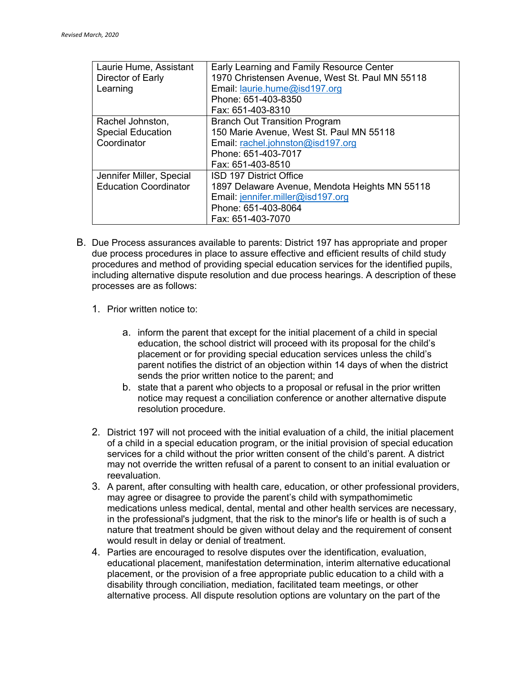| Laurie Hume, Assistant       | Early Learning and Family Resource Center       |  |
|------------------------------|-------------------------------------------------|--|
| Director of Early            | 1970 Christensen Avenue, West St. Paul MN 55118 |  |
| Learning                     | Email: laurie.hume@isd197.org                   |  |
|                              | Phone: 651-403-8350                             |  |
|                              | Fax: 651-403-8310                               |  |
| Rachel Johnston,             | <b>Branch Out Transition Program</b>            |  |
| <b>Special Education</b>     | 150 Marie Avenue, West St. Paul MN 55118        |  |
| Coordinator                  | Email: rachel.johnston@isd197.org               |  |
|                              | Phone: 651-403-7017                             |  |
|                              | Fax: 651-403-8510                               |  |
| Jennifer Miller, Special     | ISD 197 District Office                         |  |
| <b>Education Coordinator</b> | 1897 Delaware Avenue, Mendota Heights MN 55118  |  |
|                              | Email: jennifer.miller@isd197.org               |  |
|                              | Phone: 651-403-8064                             |  |
|                              | Fax: 651-403-7070                               |  |

- B. Due Process assurances available to parents: District 197 has appropriate and proper due process procedures in place to assure effective and efficient results of child study procedures and method of providing special education services for the identified pupils, including alternative dispute resolution and due process hearings. A description of these processes are as follows:
	- 1. Prior written notice to:
		- a. inform the parent that except for the initial placement of a child in special education, the school district will proceed with its proposal for the child's placement or for providing special education services unless the child's parent notifies the district of an objection within 14 days of when the district sends the prior written notice to the parent; and
		- b. state that a parent who objects to a proposal or refusal in the prior written notice may request a conciliation conference or another alternative dispute resolution procedure.
	- 2. District 197 will not proceed with the initial evaluation of a child, the initial placement of a child in a special education program, or the initial provision of special education services for a child without the prior written consent of the child's parent. A district may not override the written refusal of a parent to consent to an initial evaluation or reevaluation.
	- 3. A parent, after consulting with health care, education, or other professional providers, may agree or disagree to provide the parent's child with sympathomimetic medications unless medical, dental, mental and other health services are necessary, in the professional's judgment, that the risk to the minor's life or health is of such a nature that treatment should be given without delay and the requirement of consent would result in delay or denial of treatment.
	- 4. Parties are encouraged to resolve disputes over the identification, evaluation, educational placement, manifestation determination, interim alternative educational placement, or the provision of a free appropriate public education to a child with a disability through conciliation, mediation, facilitated team meetings, or other alternative process. All dispute resolution options are voluntary on the part of the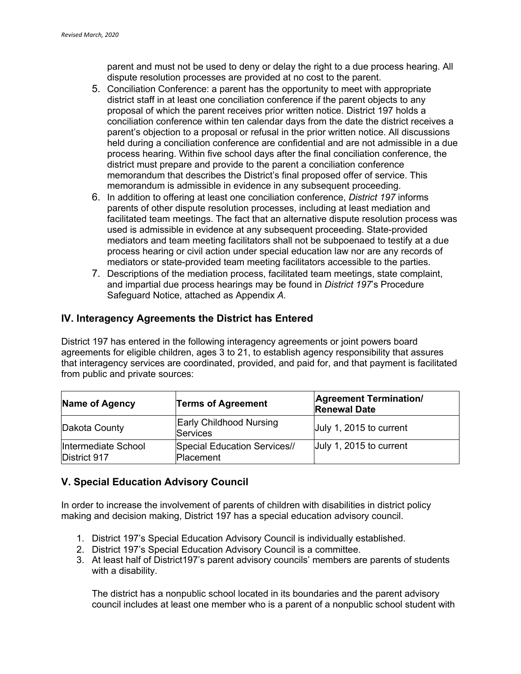parent and must not be used to deny or delay the right to a due process hearing. All dispute resolution processes are provided at no cost to the parent.

- 5. Conciliation Conference: a parent has the opportunity to meet with appropriate district staff in at least one conciliation conference if the parent objects to any proposal of which the parent receives prior written notice. District 197 holds a conciliation conference within ten calendar days from the date the district receives a parent's objection to a proposal or refusal in the prior written notice. All discussions held during a conciliation conference are confidential and are not admissible in a due process hearing. Within five school days after the final conciliation conference, the district must prepare and provide to the parent a conciliation conference memorandum that describes the District's final proposed offer of service. This memorandum is admissible in evidence in any subsequent proceeding.
- 6. In addition to offering at least one conciliation conference, *District 197* informs parents of other dispute resolution processes, including at least mediation and facilitated team meetings. The fact that an alternative dispute resolution process was used is admissible in evidence at any subsequent proceeding. State-provided mediators and team meeting facilitators shall not be subpoenaed to testify at a due process hearing or civil action under special education law nor are any records of mediators or state-provided team meeting facilitators accessible to the parties.
- 7. Descriptions of the mediation process, facilitated team meetings, state complaint, and impartial due process hearings may be found in *District 197*'s Procedure Safeguard Notice, attached as Appendix *A.*

## **IV. Interagency Agreements the District has Entered**

District 197 has entered in the following interagency agreements or joint powers board agreements for eligible children, ages 3 to 21, to establish agency responsibility that assures that interagency services are coordinated, provided, and paid for, and that payment is facilitated from public and private sources:

| Name of Agency                      | <b>Terms of Agreement</b>                         | <b>Agreement Termination/</b><br><b>Renewal Date</b> |
|-------------------------------------|---------------------------------------------------|------------------------------------------------------|
| Dakota County                       | <b>Early Childhood Nursing</b><br><b>Services</b> | July 1, 2015 to current                              |
| Intermediate School<br>District 917 | Special Education Services//<br><b>Placement</b>  | July 1, 2015 to current                              |

# **V. Special Education Advisory Council**

In order to increase the involvement of parents of children with disabilities in district policy making and decision making, District 197 has a special education advisory council.

- 1. District 197's Special Education Advisory Council is individually established.
- 2. District 197's Special Education Advisory Council is a committee.
- 3. At least half of District197's parent advisory councils' members are parents of students with a disability.

The district has a nonpublic school located in its boundaries and the parent advisory council includes at least one member who is a parent of a nonpublic school student with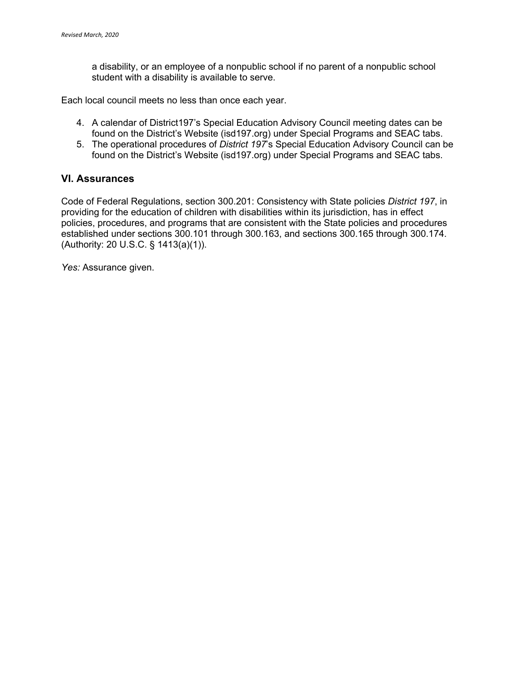a disability, or an employee of a nonpublic school if no parent of a nonpublic school student with a disability is available to serve.

Each local council meets no less than once each year.

- 4. A calendar of District197's Special Education Advisory Council meeting dates can be found on the District's Website (isd197.org) under Special Programs and SEAC tabs.
- 5. The operational procedures of *District 197*'s Special Education Advisory Council can be found on the District's Website (isd197.org) under Special Programs and SEAC tabs.

#### **VI. Assurances**

Code of Federal Regulations, section 300.201: Consistency with State policies *District 197*, in providing for the education of children with disabilities within its jurisdiction, has in effect policies, procedures, and programs that are consistent with the State policies and procedures established under sections 300.101 through 300.163, and sections 300.165 through 300.174. (Authority: 20 U.S.C. § 1413(a)(1)).

*Yes:* Assurance given.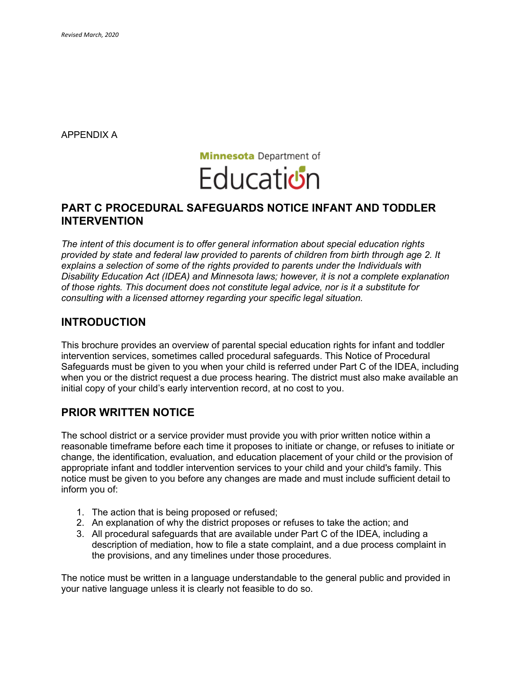APPENDIX A



## **PART C PROCEDURAL SAFEGUARDS NOTICE INFANT AND TODDLER INTERVENTION**

*The intent of this document is to offer general information about special education rights provided by state and federal law provided to parents of children from birth through age 2. It explains a selection of some of the rights provided to parents under the Individuals with Disability Education Act (IDEA) and Minnesota laws; however, it is not a complete explanation of those rights. This document does not constitute legal advice, nor is it a substitute for consulting with a licensed attorney regarding your specific legal situation.* 

# **INTRODUCTION**

This brochure provides an overview of parental special education rights for infant and toddler intervention services, sometimes called procedural safeguards. This Notice of Procedural Safeguards must be given to you when your child is referred under Part C of the IDEA, including when you or the district request a due process hearing. The district must also make available an initial copy of your child's early intervention record, at no cost to you.

# **PRIOR WRITTEN NOTICE**

The school district or a service provider must provide you with prior written notice within a reasonable timeframe before each time it proposes to initiate or change, or refuses to initiate or change, the identification, evaluation, and education placement of your child or the provision of appropriate infant and toddler intervention services to your child and your child's family. This notice must be given to you before any changes are made and must include sufficient detail to inform you of:

- 1. The action that is being proposed or refused;
- 2. An explanation of why the district proposes or refuses to take the action; and
- 3. All procedural safeguards that are available under Part C of the IDEA, including a description of mediation, how to file a state complaint, and a due process complaint in the provisions, and any timelines under those procedures.

The notice must be written in a language understandable to the general public and provided in your native language unless it is clearly not feasible to do so.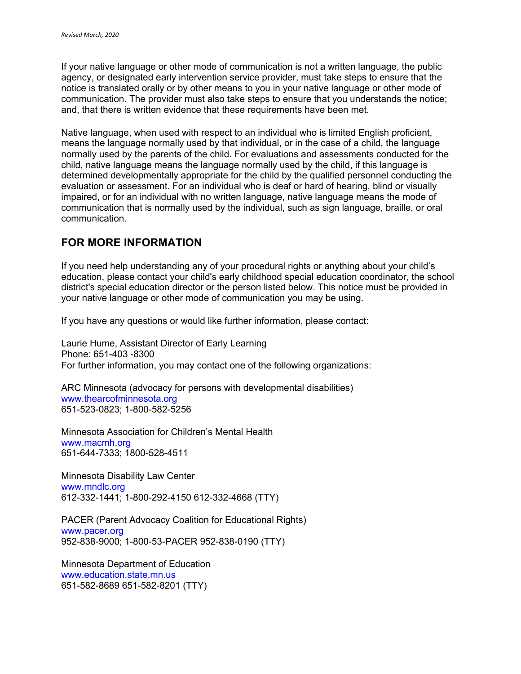If your native language or other mode of communication is not a written language, the public agency, or designated early intervention service provider, must take steps to ensure that the notice is translated orally or by other means to you in your native language or other mode of communication. The provider must also take steps to ensure that you understands the notice; and, that there is written evidence that these requirements have been met.

Native language, when used with respect to an individual who is limited English proficient, means the language normally used by that individual, or in the case of a child, the language normally used by the parents of the child. For evaluations and assessments conducted for the child, native language means the language normally used by the child, if this language is determined developmentally appropriate for the child by the qualified personnel conducting the evaluation or assessment. For an individual who is deaf or hard of hearing, blind or visually impaired, or for an individual with no written language, native language means the mode of communication that is normally used by the individual, such as sign language, braille, or oral communication.

# **FOR MORE INFORMATION**

If you need help understanding any of your procedural rights or anything about your child's education, please contact your child's early childhood special education coordinator, the school district's special education director or the person listed below. This notice must be provided in your native language or other mode of communication you may be using.

If you have any questions or would like further information, please contact:

Laurie Hume, Assistant Director of Early Learning Phone: 651-403 -8300 For further information, you may contact one of the following organizations:

ARC Minnesota (advocacy for persons with developmental disabilities) www.thearcofminnesota.org 651-523-0823; 1-800-582-5256

Minnesota Association for Children's Mental Health www.macmh.org 651-644-7333; 1800-528-4511

Minnesota Disability Law Center www.mndlc.org 612-332-1441; 1-800-292-4150 612-332-4668 (TTY)

PACER (Parent Advocacy Coalition for Educational Rights) www.pacer.org 952-838-9000; 1-800-53-PACER 952-838-0190 (TTY)

Minnesota Department of Education www.education.state.mn.us 651-582-8689 651-582-8201 (TTY)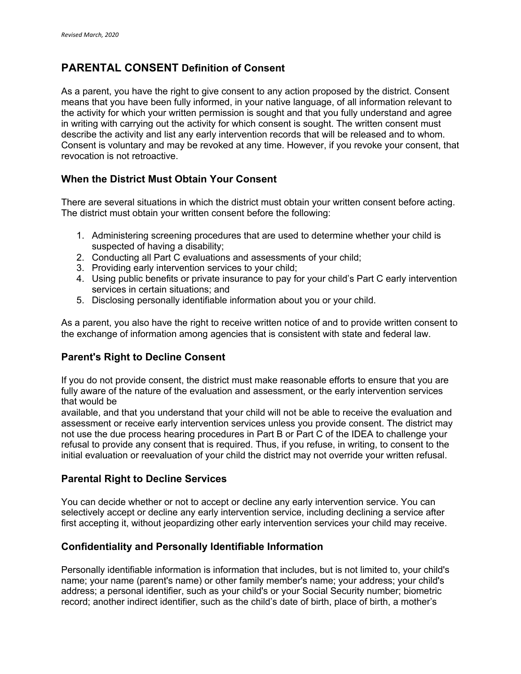# **PARENTAL CONSENT Definition of Consent**

As a parent, you have the right to give consent to any action proposed by the district. Consent means that you have been fully informed, in your native language, of all information relevant to the activity for which your written permission is sought and that you fully understand and agree in writing with carrying out the activity for which consent is sought. The written consent must describe the activity and list any early intervention records that will be released and to whom. Consent is voluntary and may be revoked at any time. However, if you revoke your consent, that revocation is not retroactive.

## **When the District Must Obtain Your Consent**

There are several situations in which the district must obtain your written consent before acting. The district must obtain your written consent before the following:

- 1. Administering screening procedures that are used to determine whether your child is suspected of having a disability;
- 2. Conducting all Part C evaluations and assessments of your child;
- 3. Providing early intervention services to your child;
- 4. Using public benefits or private insurance to pay for your child's Part C early intervention services in certain situations; and
- 5. Disclosing personally identifiable information about you or your child.

As a parent, you also have the right to receive written notice of and to provide written consent to the exchange of information among agencies that is consistent with state and federal law.

## **Parent's Right to Decline Consent**

If you do not provide consent, the district must make reasonable efforts to ensure that you are fully aware of the nature of the evaluation and assessment, or the early intervention services that would be

available, and that you understand that your child will not be able to receive the evaluation and assessment or receive early intervention services unless you provide consent. The district may not use the due process hearing procedures in Part B or Part C of the IDEA to challenge your refusal to provide any consent that is required. Thus, if you refuse, in writing, to consent to the initial evaluation or reevaluation of your child the district may not override your written refusal.

## **Parental Right to Decline Services**

You can decide whether or not to accept or decline any early intervention service. You can selectively accept or decline any early intervention service, including declining a service after first accepting it, without jeopardizing other early intervention services your child may receive.

## **Confidentiality and Personally Identifiable Information**

Personally identifiable information is information that includes, but is not limited to, your child's name; your name (parent's name) or other family member's name; your address; your child's address; a personal identifier, such as your child's or your Social Security number; biometric record; another indirect identifier, such as the child's date of birth, place of birth, a mother's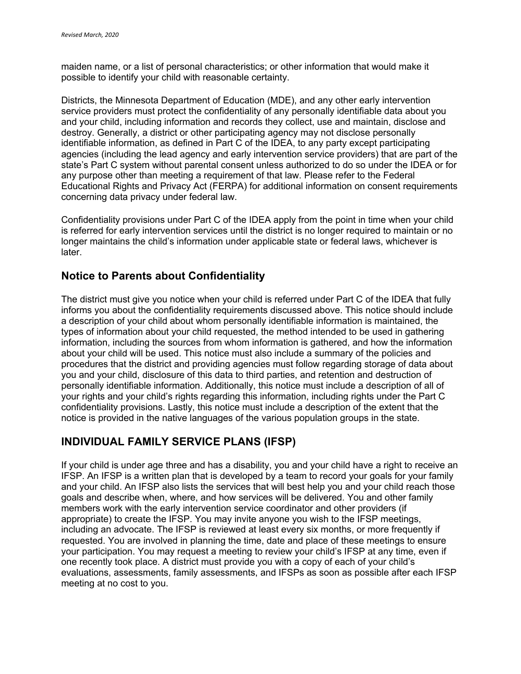maiden name, or a list of personal characteristics; or other information that would make it possible to identify your child with reasonable certainty.

Districts, the Minnesota Department of Education (MDE), and any other early intervention service providers must protect the confidentiality of any personally identifiable data about you and your child, including information and records they collect, use and maintain, disclose and destroy. Generally, a district or other participating agency may not disclose personally identifiable information, as defined in Part C of the IDEA, to any party except participating agencies (including the lead agency and early intervention service providers) that are part of the state's Part C system without parental consent unless authorized to do so under the IDEA or for any purpose other than meeting a requirement of that law. Please refer to the Federal Educational Rights and Privacy Act (FERPA) for additional information on consent requirements concerning data privacy under federal law.

Confidentiality provisions under Part C of the IDEA apply from the point in time when your child is referred for early intervention services until the district is no longer required to maintain or no longer maintains the child's information under applicable state or federal laws, whichever is later.

# **Notice to Parents about Confidentiality**

The district must give you notice when your child is referred under Part C of the IDEA that fully informs you about the confidentiality requirements discussed above. This notice should include a description of your child about whom personally identifiable information is maintained, the types of information about your child requested, the method intended to be used in gathering information, including the sources from whom information is gathered, and how the information about your child will be used. This notice must also include a summary of the policies and procedures that the district and providing agencies must follow regarding storage of data about you and your child, disclosure of this data to third parties, and retention and destruction of personally identifiable information. Additionally, this notice must include a description of all of your rights and your child's rights regarding this information, including rights under the Part C confidentiality provisions. Lastly, this notice must include a description of the extent that the notice is provided in the native languages of the various population groups in the state.

# **INDIVIDUAL FAMILY SERVICE PLANS (IFSP)**

If your child is under age three and has a disability, you and your child have a right to receive an IFSP. An IFSP is a written plan that is developed by a team to record your goals for your family and your child. An IFSP also lists the services that will best help you and your child reach those goals and describe when, where, and how services will be delivered. You and other family members work with the early intervention service coordinator and other providers (if appropriate) to create the IFSP. You may invite anyone you wish to the IFSP meetings, including an advocate. The IFSP is reviewed at least every six months, or more frequently if requested. You are involved in planning the time, date and place of these meetings to ensure your participation. You may request a meeting to review your child's IFSP at any time, even if one recently took place. A district must provide you with a copy of each of your child's evaluations, assessments, family assessments, and IFSPs as soon as possible after each IFSP meeting at no cost to you.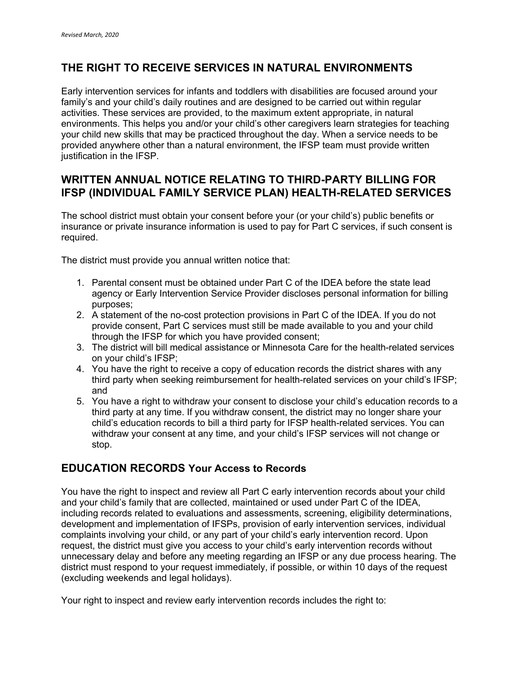# **THE RIGHT TO RECEIVE SERVICES IN NATURAL ENVIRONMENTS**

Early intervention services for infants and toddlers with disabilities are focused around your family's and your child's daily routines and are designed to be carried out within regular activities. These services are provided, to the maximum extent appropriate, in natural environments. This helps you and/or your child's other caregivers learn strategies for teaching your child new skills that may be practiced throughout the day. When a service needs to be provided anywhere other than a natural environment, the IFSP team must provide written justification in the IFSP.

# **WRITTEN ANNUAL NOTICE RELATING TO THIRD-PARTY BILLING FOR IFSP (INDIVIDUAL FAMILY SERVICE PLAN) HEALTH-RELATED SERVICES**

The school district must obtain your consent before your (or your child's) public benefits or insurance or private insurance information is used to pay for Part C services, if such consent is required.

The district must provide you annual written notice that:

- 1. Parental consent must be obtained under Part C of the IDEA before the state lead agency or Early Intervention Service Provider discloses personal information for billing purposes;
- 2. A statement of the no-cost protection provisions in Part C of the IDEA. If you do not provide consent, Part C services must still be made available to you and your child through the IFSP for which you have provided consent;
- 3. The district will bill medical assistance or Minnesota Care for the health-related services on your child's IFSP;
- 4. You have the right to receive a copy of education records the district shares with any third party when seeking reimbursement for health-related services on your child's IFSP; and
- 5. You have a right to withdraw your consent to disclose your child's education records to a third party at any time. If you withdraw consent, the district may no longer share your child's education records to bill a third party for IFSP health-related services. You can withdraw your consent at any time, and your child's IFSP services will not change or stop.

# **EDUCATION RECORDS Your Access to Records**

You have the right to inspect and review all Part C early intervention records about your child and your child's family that are collected, maintained or used under Part C of the IDEA, including records related to evaluations and assessments, screening, eligibility determinations, development and implementation of IFSPs, provision of early intervention services, individual complaints involving your child, or any part of your child's early intervention record. Upon request, the district must give you access to your child's early intervention records without unnecessary delay and before any meeting regarding an IFSP or any due process hearing. The district must respond to your request immediately, if possible, or within 10 days of the request (excluding weekends and legal holidays).

Your right to inspect and review early intervention records includes the right to: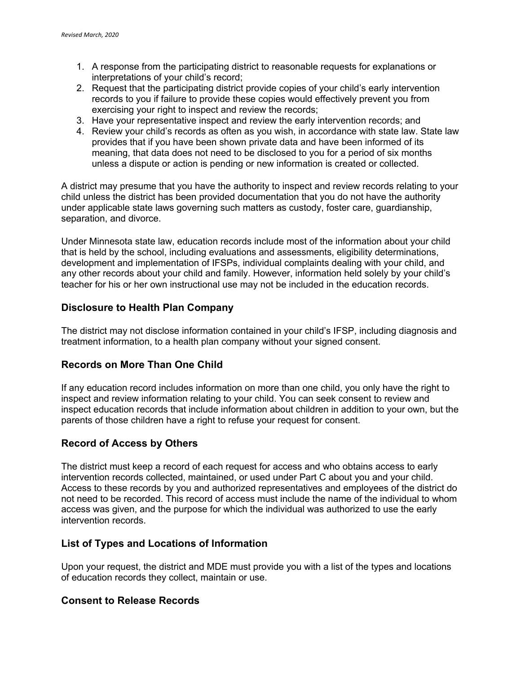- 1. A response from the participating district to reasonable requests for explanations or interpretations of your child's record;
- 2. Request that the participating district provide copies of your child's early intervention records to you if failure to provide these copies would effectively prevent you from exercising your right to inspect and review the records:
- 3. Have your representative inspect and review the early intervention records; and
- 4. Review your child's records as often as you wish, in accordance with state law. State law provides that if you have been shown private data and have been informed of its meaning, that data does not need to be disclosed to you for a period of six months unless a dispute or action is pending or new information is created or collected.

A district may presume that you have the authority to inspect and review records relating to your child unless the district has been provided documentation that you do not have the authority under applicable state laws governing such matters as custody, foster care, guardianship, separation, and divorce.

Under Minnesota state law, education records include most of the information about your child that is held by the school, including evaluations and assessments, eligibility determinations, development and implementation of IFSPs, individual complaints dealing with your child, and any other records about your child and family. However, information held solely by your child's teacher for his or her own instructional use may not be included in the education records.

#### **Disclosure to Health Plan Company**

The district may not disclose information contained in your child's IFSP, including diagnosis and treatment information, to a health plan company without your signed consent.

## **Records on More Than One Child**

If any education record includes information on more than one child, you only have the right to inspect and review information relating to your child. You can seek consent to review and inspect education records that include information about children in addition to your own, but the parents of those children have a right to refuse your request for consent.

#### **Record of Access by Others**

The district must keep a record of each request for access and who obtains access to early intervention records collected, maintained, or used under Part C about you and your child. Access to these records by you and authorized representatives and employees of the district do not need to be recorded. This record of access must include the name of the individual to whom access was given, and the purpose for which the individual was authorized to use the early intervention records.

#### **List of Types and Locations of Information**

Upon your request, the district and MDE must provide you with a list of the types and locations of education records they collect, maintain or use.

#### **Consent to Release Records**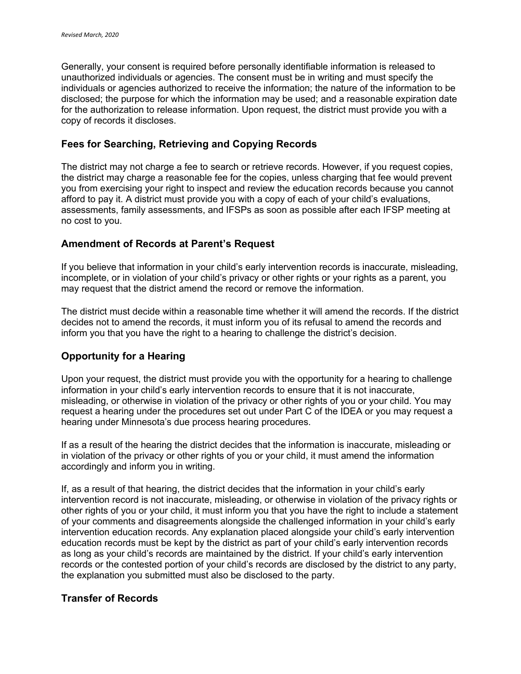Generally, your consent is required before personally identifiable information is released to unauthorized individuals or agencies. The consent must be in writing and must specify the individuals or agencies authorized to receive the information; the nature of the information to be disclosed; the purpose for which the information may be used; and a reasonable expiration date for the authorization to release information. Upon request, the district must provide you with a copy of records it discloses.

#### **Fees for Searching, Retrieving and Copying Records**

The district may not charge a fee to search or retrieve records. However, if you request copies, the district may charge a reasonable fee for the copies, unless charging that fee would prevent you from exercising your right to inspect and review the education records because you cannot afford to pay it. A district must provide you with a copy of each of your child's evaluations, assessments, family assessments, and IFSPs as soon as possible after each IFSP meeting at no cost to you.

#### **Amendment of Records at Parent's Request**

If you believe that information in your child's early intervention records is inaccurate, misleading, incomplete, or in violation of your child's privacy or other rights or your rights as a parent, you may request that the district amend the record or remove the information.

The district must decide within a reasonable time whether it will amend the records. If the district decides not to amend the records, it must inform you of its refusal to amend the records and inform you that you have the right to a hearing to challenge the district's decision.

## **Opportunity for a Hearing**

Upon your request, the district must provide you with the opportunity for a hearing to challenge information in your child's early intervention records to ensure that it is not inaccurate, misleading, or otherwise in violation of the privacy or other rights of you or your child. You may request a hearing under the procedures set out under Part C of the IDEA or you may request a hearing under Minnesota's due process hearing procedures.

If as a result of the hearing the district decides that the information is inaccurate, misleading or in violation of the privacy or other rights of you or your child, it must amend the information accordingly and inform you in writing.

If, as a result of that hearing, the district decides that the information in your child's early intervention record is not inaccurate, misleading, or otherwise in violation of the privacy rights or other rights of you or your child, it must inform you that you have the right to include a statement of your comments and disagreements alongside the challenged information in your child's early intervention education records. Any explanation placed alongside your child's early intervention education records must be kept by the district as part of your child's early intervention records as long as your child's records are maintained by the district. If your child's early intervention records or the contested portion of your child's records are disclosed by the district to any party, the explanation you submitted must also be disclosed to the party.

#### **Transfer of Records**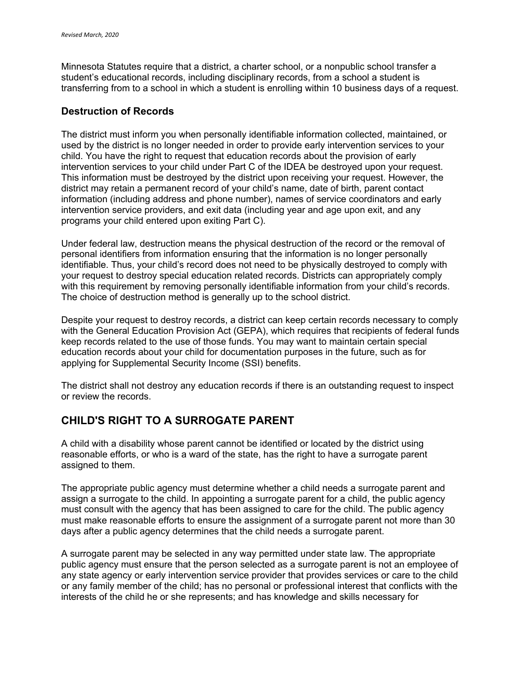Minnesota Statutes require that a district, a charter school, or a nonpublic school transfer a student's educational records, including disciplinary records, from a school a student is transferring from to a school in which a student is enrolling within 10 business days of a request.

#### **Destruction of Records**

The district must inform you when personally identifiable information collected, maintained, or used by the district is no longer needed in order to provide early intervention services to your child. You have the right to request that education records about the provision of early intervention services to your child under Part C of the IDEA be destroyed upon your request. This information must be destroyed by the district upon receiving your request. However, the district may retain a permanent record of your child's name, date of birth, parent contact information (including address and phone number), names of service coordinators and early intervention service providers, and exit data (including year and age upon exit, and any programs your child entered upon exiting Part C).

Under federal law, destruction means the physical destruction of the record or the removal of personal identifiers from information ensuring that the information is no longer personally identifiable. Thus, your child's record does not need to be physically destroyed to comply with your request to destroy special education related records. Districts can appropriately comply with this requirement by removing personally identifiable information from your child's records. The choice of destruction method is generally up to the school district.

Despite your request to destroy records, a district can keep certain records necessary to comply with the General Education Provision Act (GEPA), which requires that recipients of federal funds keep records related to the use of those funds. You may want to maintain certain special education records about your child for documentation purposes in the future, such as for applying for Supplemental Security Income (SSI) benefits.

The district shall not destroy any education records if there is an outstanding request to inspect or review the records.

# **CHILD'S RIGHT TO A SURROGATE PARENT**

A child with a disability whose parent cannot be identified or located by the district using reasonable efforts, or who is a ward of the state, has the right to have a surrogate parent assigned to them.

The appropriate public agency must determine whether a child needs a surrogate parent and assign a surrogate to the child. In appointing a surrogate parent for a child, the public agency must consult with the agency that has been assigned to care for the child. The public agency must make reasonable efforts to ensure the assignment of a surrogate parent not more than 30 days after a public agency determines that the child needs a surrogate parent.

A surrogate parent may be selected in any way permitted under state law. The appropriate public agency must ensure that the person selected as a surrogate parent is not an employee of any state agency or early intervention service provider that provides services or care to the child or any family member of the child; has no personal or professional interest that conflicts with the interests of the child he or she represents; and has knowledge and skills necessary for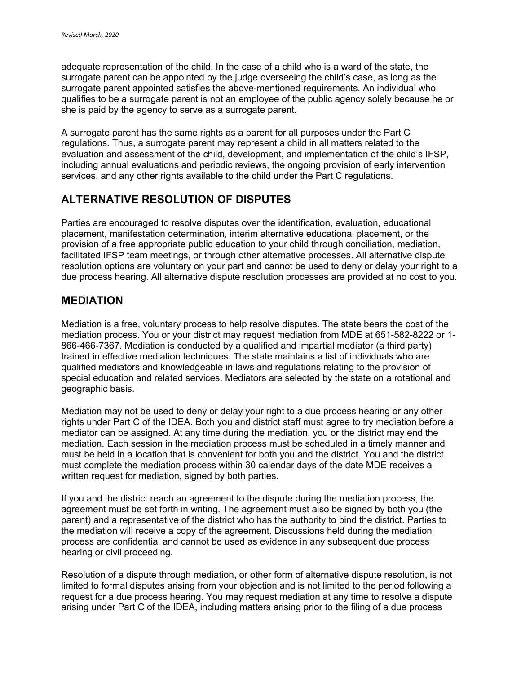adequate representation of the child. In the case of a child who is a ward of the state, the surrogate parent can be appointed by the judge overseeing the child's case, as long as the surrogate parent appointed satisfies the above-mentioned requirements. An individual who qualifies to be a surrogate parent is not an employee of the public agency solely because he or she is paid by the agency to serve as a surrogate parent.

A surrogate parent has the same rights as a parent for all purposes under the Part C regulations. Thus, a surrogate parent may represent a child in all matters related to the evaluation and assessment of the child, development, and implementation of the child's IFSP, including annual evaluations and periodic reviews, the ongoing provision of early intervention services, and any other rights available to the child under the Part C regulations.

# **ALTERNATIVE RESOLUTION OF DISPUTES**

Parties are encouraged to resolve disputes over the identification, evaluation, educational placement, manifestation determination, interim alternative educational placement, or the provision of a free appropriate public education to your child through conciliation, mediation, facilitated IFSP team meetings, or through other alternative processes. All alternative dispute resolution options are voluntary on your part and cannot be used to deny or delay your right to a due process hearing. All alternative dispute resolution processes are provided at no cost to you.

# **MEDIATION**

Mediation is a free, voluntary process to help resolve disputes. The state bears the cost of the mediation process. You or your district may request mediation from MDE at 651-582-8222 or 1- 866-466-7367. Mediation is conducted by a qualified and impartial mediator (a third party) trained in effective mediation techniques. The state maintains a list of individuals who are qualified mediators and knowledgeable in laws and regulations relating to the provision of special education and related services. Mediators are selected by the state on a rotational and geographic basis.

Mediation may not be used to deny or delay your right to a due process hearing or any other rights under Part C of the IDEA. Both you and district staff must agree to try mediation before a mediator can be assigned. At any time during the mediation, you or the district may end the mediation. Each session in the mediation process must be scheduled in a timely manner and must be held in a location that is convenient for both you and the district. You and the district must complete the mediation process within 30 calendar days of the date MDE receives a written request for mediation, signed by both parties.

If you and the district reach an agreement to the dispute during the mediation process, the agreement must be set forth in writing. The agreement must also be signed by both you (the parent) and a representative of the district who has the authority to bind the district. Parties to the mediation will receive a copy of the agreement. Discussions held during the mediation process are confidential and cannot be used as evidence in any subsequent due process hearing or civil proceeding.

Resolution of a dispute through mediation, or other form of alternative dispute resolution, is not limited to formal disputes arising from your objection and is not limited to the period following a request for a due process hearing. You may request mediation at any time to resolve a dispute arising under Part C of the IDEA, including matters arising prior to the filing of a due process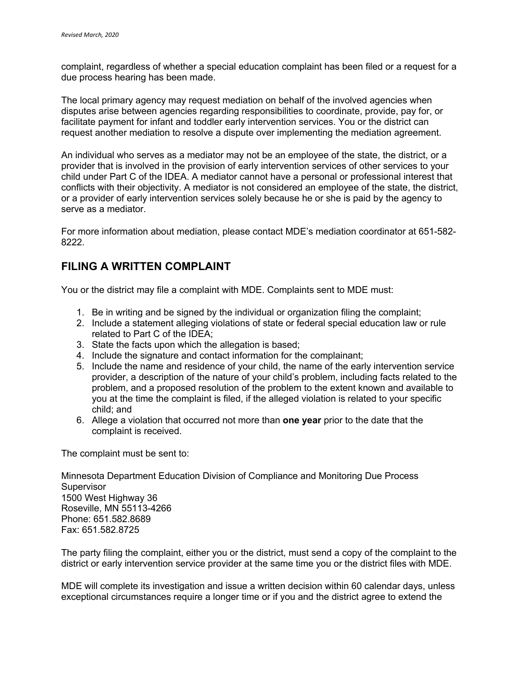complaint, regardless of whether a special education complaint has been filed or a request for a due process hearing has been made.

The local primary agency may request mediation on behalf of the involved agencies when disputes arise between agencies regarding responsibilities to coordinate, provide, pay for, or facilitate payment for infant and toddler early intervention services. You or the district can request another mediation to resolve a dispute over implementing the mediation agreement.

An individual who serves as a mediator may not be an employee of the state, the district, or a provider that is involved in the provision of early intervention services of other services to your child under Part C of the IDEA. A mediator cannot have a personal or professional interest that conflicts with their objectivity. A mediator is not considered an employee of the state, the district, or a provider of early intervention services solely because he or she is paid by the agency to serve as a mediator.

For more information about mediation, please contact MDE's mediation coordinator at 651-582- 8222.

# **FILING A WRITTEN COMPLAINT**

You or the district may file a complaint with MDE. Complaints sent to MDE must:

- 1. Be in writing and be signed by the individual or organization filing the complaint;
- 2. Include a statement alleging violations of state or federal special education law or rule related to Part C of the IDEA;
- 3. State the facts upon which the allegation is based;
- 4. Include the signature and contact information for the complainant;
- 5. Include the name and residence of your child, the name of the early intervention service provider, a description of the nature of your child's problem, including facts related to the problem, and a proposed resolution of the problem to the extent known and available to you at the time the complaint is filed, if the alleged violation is related to your specific child; and
- 6. Allege a violation that occurred not more than **one year** prior to the date that the complaint is received.

The complaint must be sent to:

Minnesota Department Education Division of Compliance and Monitoring Due Process Supervisor 1500 West Highway 36 Roseville, MN 55113-4266 Phone: 651.582.8689 Fax: 651.582.8725

The party filing the complaint, either you or the district, must send a copy of the complaint to the district or early intervention service provider at the same time you or the district files with MDE.

MDE will complete its investigation and issue a written decision within 60 calendar days, unless exceptional circumstances require a longer time or if you and the district agree to extend the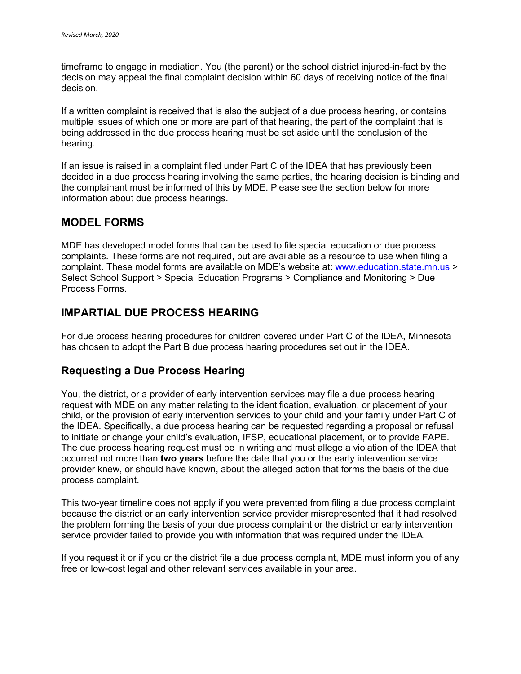timeframe to engage in mediation. You (the parent) or the school district injured-in-fact by the decision may appeal the final complaint decision within 60 days of receiving notice of the final decision.

If a written complaint is received that is also the subject of a due process hearing, or contains multiple issues of which one or more are part of that hearing, the part of the complaint that is being addressed in the due process hearing must be set aside until the conclusion of the hearing.

If an issue is raised in a complaint filed under Part C of the IDEA that has previously been decided in a due process hearing involving the same parties, the hearing decision is binding and the complainant must be informed of this by MDE. Please see the section below for more information about due process hearings.

## **MODEL FORMS**

MDE has developed model forms that can be used to file special education or due process complaints. These forms are not required, but are available as a resource to use when filing a complaint. These model forms are available on MDE's website at: www.education.state.mn.us > Select School Support > Special Education Programs > Compliance and Monitoring > Due Process Forms.

# **IMPARTIAL DUE PROCESS HEARING**

For due process hearing procedures for children covered under Part C of the IDEA, Minnesota has chosen to adopt the Part B due process hearing procedures set out in the IDEA.

# **Requesting a Due Process Hearing**

You, the district, or a provider of early intervention services may file a due process hearing request with MDE on any matter relating to the identification, evaluation, or placement of your child, or the provision of early intervention services to your child and your family under Part C of the IDEA. Specifically, a due process hearing can be requested regarding a proposal or refusal to initiate or change your child's evaluation, IFSP, educational placement, or to provide FAPE. The due process hearing request must be in writing and must allege a violation of the IDEA that occurred not more than **two years** before the date that you or the early intervention service provider knew, or should have known, about the alleged action that forms the basis of the due process complaint.

This two-year timeline does not apply if you were prevented from filing a due process complaint because the district or an early intervention service provider misrepresented that it had resolved the problem forming the basis of your due process complaint or the district or early intervention service provider failed to provide you with information that was required under the IDEA.

If you request it or if you or the district file a due process complaint, MDE must inform you of any free or low-cost legal and other relevant services available in your area.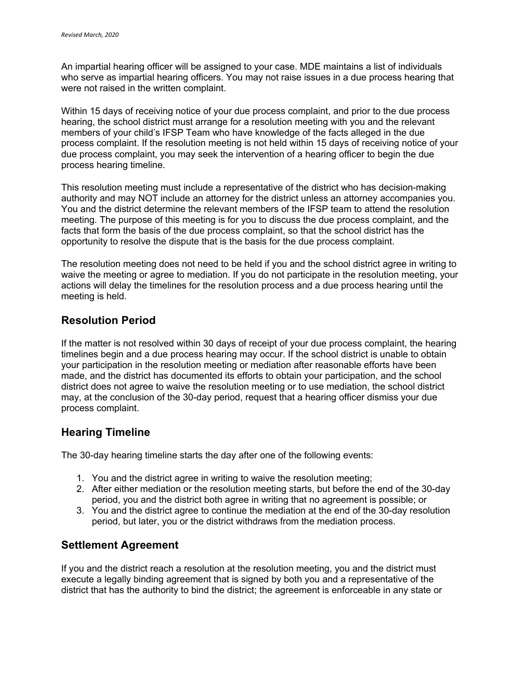An impartial hearing officer will be assigned to your case. MDE maintains a list of individuals who serve as impartial hearing officers. You may not raise issues in a due process hearing that were not raised in the written complaint.

Within 15 days of receiving notice of your due process complaint, and prior to the due process hearing, the school district must arrange for a resolution meeting with you and the relevant members of your child's IFSP Team who have knowledge of the facts alleged in the due process complaint. If the resolution meeting is not held within 15 days of receiving notice of your due process complaint, you may seek the intervention of a hearing officer to begin the due process hearing timeline.

This resolution meeting must include a representative of the district who has decision-making authority and may NOT include an attorney for the district unless an attorney accompanies you. You and the district determine the relevant members of the IFSP team to attend the resolution meeting. The purpose of this meeting is for you to discuss the due process complaint, and the facts that form the basis of the due process complaint, so that the school district has the opportunity to resolve the dispute that is the basis for the due process complaint.

The resolution meeting does not need to be held if you and the school district agree in writing to waive the meeting or agree to mediation. If you do not participate in the resolution meeting, your actions will delay the timelines for the resolution process and a due process hearing until the meeting is held.

## **Resolution Period**

If the matter is not resolved within 30 days of receipt of your due process complaint, the hearing timelines begin and a due process hearing may occur. If the school district is unable to obtain your participation in the resolution meeting or mediation after reasonable efforts have been made, and the district has documented its efforts to obtain your participation, and the school district does not agree to waive the resolution meeting or to use mediation, the school district may, at the conclusion of the 30-day period, request that a hearing officer dismiss your due process complaint.

# **Hearing Timeline**

The 30-day hearing timeline starts the day after one of the following events:

- 1. You and the district agree in writing to waive the resolution meeting;
- 2. After either mediation or the resolution meeting starts, but before the end of the 30-day period, you and the district both agree in writing that no agreement is possible; or
- 3. You and the district agree to continue the mediation at the end of the 30-day resolution period, but later, you or the district withdraws from the mediation process.

## **Settlement Agreement**

If you and the district reach a resolution at the resolution meeting, you and the district must execute a legally binding agreement that is signed by both you and a representative of the district that has the authority to bind the district; the agreement is enforceable in any state or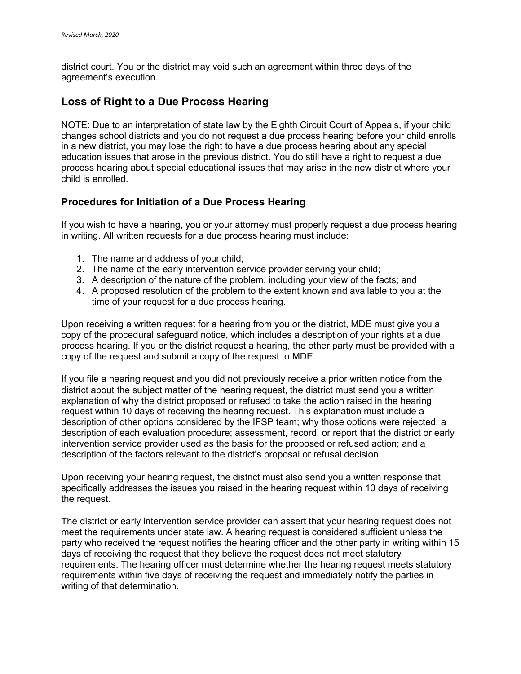district court. You or the district may void such an agreement within three days of the agreement's execution.

# **Loss of Right to a Due Process Hearing**

NOTE: Due to an interpretation of state law by the Eighth Circuit Court of Appeals, if your child changes school districts and you do not request a due process hearing before your child enrolls in a new district, you may lose the right to have a due process hearing about any special education issues that arose in the previous district. You do still have a right to request a due process hearing about special educational issues that may arise in the new district where your child is enrolled.

## **Procedures for Initiation of a Due Process Hearing**

If you wish to have a hearing, you or your attorney must properly request a due process hearing in writing. All written requests for a due process hearing must include:

- 1. The name and address of your child;
- 2. The name of the early intervention service provider serving your child;
- 3. A description of the nature of the problem, including your view of the facts; and
- 4. A proposed resolution of the problem to the extent known and available to you at the time of your request for a due process hearing.

Upon receiving a written request for a hearing from you or the district, MDE must give you a copy of the procedural safeguard notice, which includes a description of your rights at a due process hearing. If you or the district request a hearing, the other party must be provided with a copy of the request and submit a copy of the request to MDE.

If you file a hearing request and you did not previously receive a prior written notice from the district about the subject matter of the hearing request, the district must send you a written explanation of why the district proposed or refused to take the action raised in the hearing request within 10 days of receiving the hearing request. This explanation must include a description of other options considered by the IFSP team; why those options were rejected; a description of each evaluation procedure; assessment, record, or report that the district or early intervention service provider used as the basis for the proposed or refused action; and a description of the factors relevant to the district's proposal or refusal decision.

Upon receiving your hearing request, the district must also send you a written response that specifically addresses the issues you raised in the hearing request within 10 days of receiving the request.

The district or early intervention service provider can assert that your hearing request does not meet the requirements under state law. A hearing request is considered sufficient unless the party who received the request notifies the hearing officer and the other party in writing within 15 days of receiving the request that they believe the request does not meet statutory requirements. The hearing officer must determine whether the hearing request meets statutory requirements within five days of receiving the request and immediately notify the parties in writing of that determination.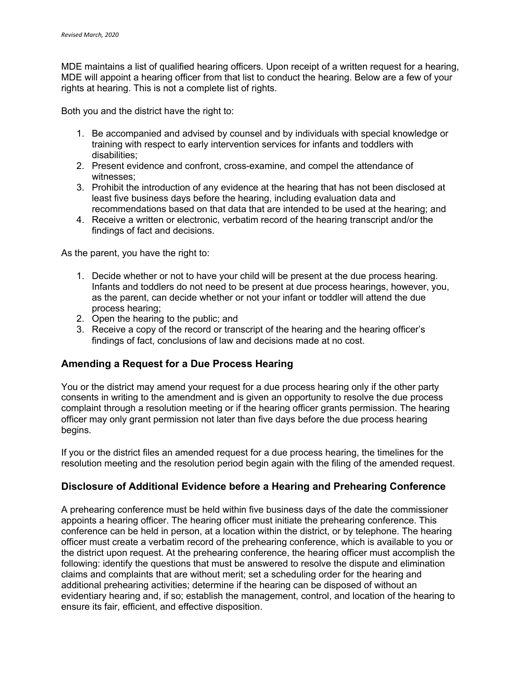MDE maintains a list of qualified hearing officers. Upon receipt of a written request for a hearing, MDE will appoint a hearing officer from that list to conduct the hearing. Below are a few of your rights at hearing. This is not a complete list of rights.

Both you and the district have the right to:

- 1. Be accompanied and advised by counsel and by individuals with special knowledge or training with respect to early intervention services for infants and toddlers with disabilities;
- 2. Present evidence and confront, cross-examine, and compel the attendance of witnesses;
- 3. Prohibit the introduction of any evidence at the hearing that has not been disclosed at least five business days before the hearing, including evaluation data and recommendations based on that data that are intended to be used at the hearing; and
- 4. Receive a written or electronic, verbatim record of the hearing transcript and/or the findings of fact and decisions.

As the parent, you have the right to:

- 1. Decide whether or not to have your child will be present at the due process hearing. Infants and toddlers do not need to be present at due process hearings, however, you, as the parent, can decide whether or not your infant or toddler will attend the due process hearing;
- 2. Open the hearing to the public; and
- 3. Receive a copy of the record or transcript of the hearing and the hearing officer's findings of fact, conclusions of law and decisions made at no cost.

## **Amending a Request for a Due Process Hearing**

You or the district may amend your request for a due process hearing only if the other party consents in writing to the amendment and is given an opportunity to resolve the due process complaint through a resolution meeting or if the hearing officer grants permission. The hearing officer may only grant permission not later than five days before the due process hearing begins.

If you or the district files an amended request for a due process hearing, the timelines for the resolution meeting and the resolution period begin again with the filing of the amended request.

## **Disclosure of Additional Evidence before a Hearing and Prehearing Conference**

A prehearing conference must be held within five business days of the date the commissioner appoints a hearing officer. The hearing officer must initiate the prehearing conference. This conference can be held in person, at a location within the district, or by telephone. The hearing officer must create a verbatim record of the prehearing conference, which is available to you or the district upon request. At the prehearing conference, the hearing officer must accomplish the following: identify the questions that must be answered to resolve the dispute and elimination claims and complaints that are without merit; set a scheduling order for the hearing and additional prehearing activities; determine if the hearing can be disposed of without an evidentiary hearing and, if so; establish the management, control, and location of the hearing to ensure its fair, efficient, and effective disposition.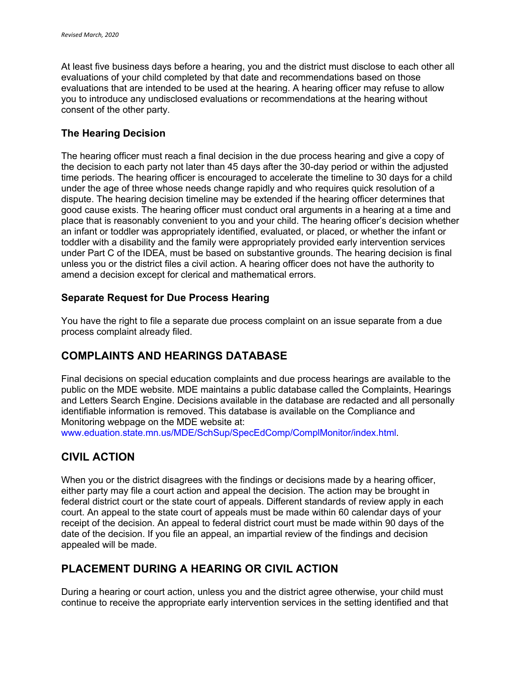At least five business days before a hearing, you and the district must disclose to each other all evaluations of your child completed by that date and recommendations based on those evaluations that are intended to be used at the hearing. A hearing officer may refuse to allow you to introduce any undisclosed evaluations or recommendations at the hearing without consent of the other party.

## **The Hearing Decision**

The hearing officer must reach a final decision in the due process hearing and give a copy of the decision to each party not later than 45 days after the 30-day period or within the adjusted time periods. The hearing officer is encouraged to accelerate the timeline to 30 days for a child under the age of three whose needs change rapidly and who requires quick resolution of a dispute. The hearing decision timeline may be extended if the hearing officer determines that good cause exists. The hearing officer must conduct oral arguments in a hearing at a time and place that is reasonably convenient to you and your child. The hearing officer's decision whether an infant or toddler was appropriately identified, evaluated, or placed, or whether the infant or toddler with a disability and the family were appropriately provided early intervention services under Part C of the IDEA, must be based on substantive grounds. The hearing decision is final unless you or the district files a civil action. A hearing officer does not have the authority to amend a decision except for clerical and mathematical errors.

## **Separate Request for Due Process Hearing**

You have the right to file a separate due process complaint on an issue separate from a due process complaint already filed.

# **COMPLAINTS AND HEARINGS DATABASE**

Final decisions on special education complaints and due process hearings are available to the public on the MDE website. MDE maintains a public database called the Complaints, Hearings and Letters Search Engine. Decisions available in the database are redacted and all personally identifiable information is removed. This database is available on the Compliance and Monitoring webpage on the MDE website at:

www.eduation.state.mn.us/MDE/SchSup/SpecEdComp/ComplMonitor/index.html.

# **CIVIL ACTION**

When you or the district disagrees with the findings or decisions made by a hearing officer, either party may file a court action and appeal the decision. The action may be brought in federal district court or the state court of appeals. Different standards of review apply in each court. An appeal to the state court of appeals must be made within 60 calendar days of your receipt of the decision. An appeal to federal district court must be made within 90 days of the date of the decision. If you file an appeal, an impartial review of the findings and decision appealed will be made.

# **PLACEMENT DURING A HEARING OR CIVIL ACTION**

During a hearing or court action, unless you and the district agree otherwise, your child must continue to receive the appropriate early intervention services in the setting identified and that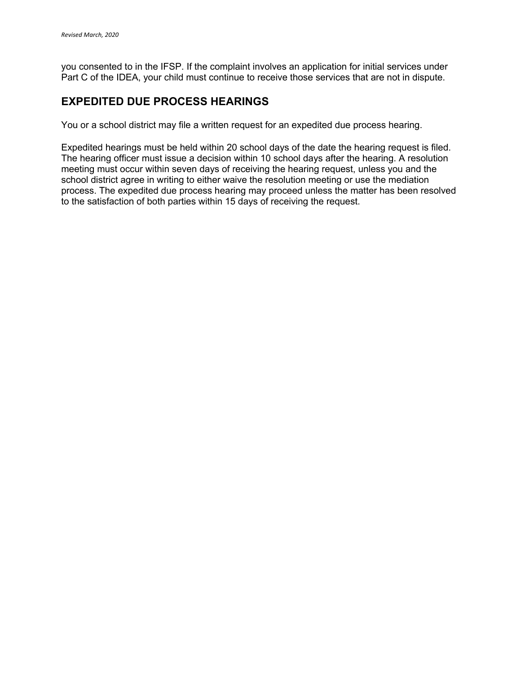you consented to in the IFSP. If the complaint involves an application for initial services under Part C of the IDEA, your child must continue to receive those services that are not in dispute.

# **EXPEDITED DUE PROCESS HEARINGS**

You or a school district may file a written request for an expedited due process hearing.

Expedited hearings must be held within 20 school days of the date the hearing request is filed. The hearing officer must issue a decision within 10 school days after the hearing. A resolution meeting must occur within seven days of receiving the hearing request, unless you and the school district agree in writing to either waive the resolution meeting or use the mediation process. The expedited due process hearing may proceed unless the matter has been resolved to the satisfaction of both parties within 15 days of receiving the request.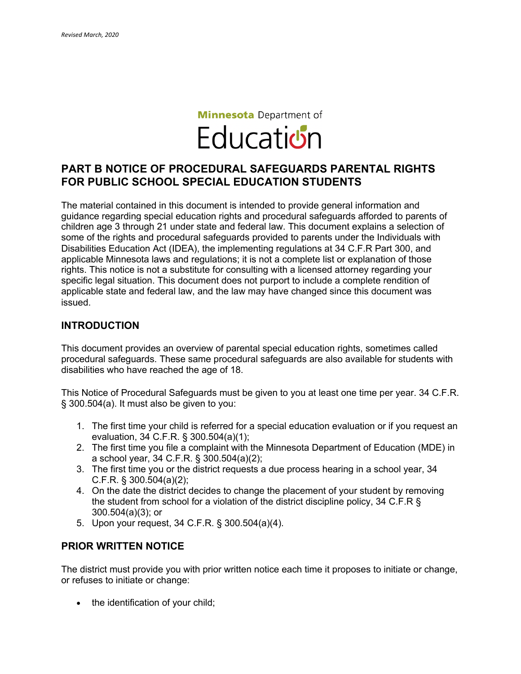# **Minnesota** Department of **Education**

# **PART B NOTICE OF PROCEDURAL SAFEGUARDS PARENTAL RIGHTS FOR PUBLIC SCHOOL SPECIAL EDUCATION STUDENTS**

The material contained in this document is intended to provide general information and guidance regarding special education rights and procedural safeguards afforded to parents of children age 3 through 21 under state and federal law. This document explains a selection of some of the rights and procedural safeguards provided to parents under the Individuals with Disabilities Education Act (IDEA), the implementing regulations at 34 C.F.R Part 300, and applicable Minnesota laws and regulations; it is not a complete list or explanation of those rights. This notice is not a substitute for consulting with a licensed attorney regarding your specific legal situation. This document does not purport to include a complete rendition of applicable state and federal law, and the law may have changed since this document was issued.

#### **INTRODUCTION**

This document provides an overview of parental special education rights, sometimes called procedural safeguards. These same procedural safeguards are also available for students with disabilities who have reached the age of 18.

This Notice of Procedural Safeguards must be given to you at least one time per year. 34 C.F.R. § 300.504(a). It must also be given to you:

- 1. The first time your child is referred for a special education evaluation or if you request an evaluation, 34 C.F.R. § 300.504(a)(1);
- 2. The first time you file a complaint with the Minnesota Department of Education (MDE) in a school year, 34 C.F.R. § 300.504(a)(2);
- 3. The first time you or the district requests a due process hearing in a school year, 34 C.F.R. § 300.504(a)(2);
- 4. On the date the district decides to change the placement of your student by removing the student from school for a violation of the district discipline policy, 34 C.F.R § 300.504(a)(3); or
- 5. Upon your request, 34 C.F.R. § 300.504(a)(4).

#### **PRIOR WRITTEN NOTICE**

The district must provide you with prior written notice each time it proposes to initiate or change, or refuses to initiate or change:

• the identification of your child;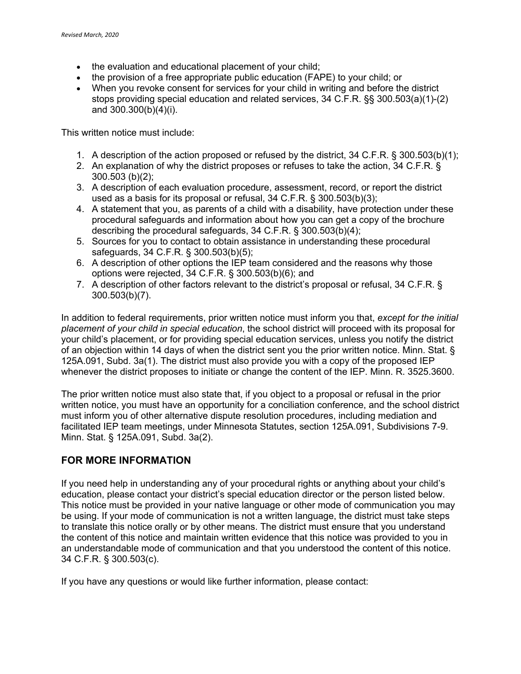- the evaluation and educational placement of your child:
- the provision of a free appropriate public education (FAPE) to your child; or
- When you revoke consent for services for your child in writing and before the district stops providing special education and related services, 34 C.F.R. §§ 300.503(a)(1)-(2) and 300.300(b)(4)(i).

This written notice must include:

- 1. A description of the action proposed or refused by the district, 34 C.F.R. § 300.503(b)(1);
- 2. An explanation of why the district proposes or refuses to take the action, 34 C.F.R. § 300.503 (b)(2);
- 3. A description of each evaluation procedure, assessment, record, or report the district used as a basis for its proposal or refusal, 34 C.F.R. § 300.503(b)(3);
- 4. A statement that you, as parents of a child with a disability, have protection under these procedural safeguards and information about how you can get a copy of the brochure describing the procedural safeguards, 34 C.F.R. § 300.503(b)(4);
- 5. Sources for you to contact to obtain assistance in understanding these procedural safeguards, 34 C.F.R. § 300.503(b)(5);
- 6. A description of other options the IEP team considered and the reasons why those options were rejected, 34 C.F.R. § 300.503(b)(6); and
- 7. A description of other factors relevant to the district's proposal or refusal, 34 C.F.R. § 300.503(b)(7).

In addition to federal requirements, prior written notice must inform you that, *except for the initial placement of your child in special education*, the school district will proceed with its proposal for your child's placement, or for providing special education services, unless you notify the district of an objection within 14 days of when the district sent you the prior written notice. Minn. Stat. § 125A.091, Subd. 3a(1). The district must also provide you with a copy of the proposed IEP whenever the district proposes to initiate or change the content of the IEP. Minn. R. 3525.3600.

The prior written notice must also state that, if you object to a proposal or refusal in the prior written notice, you must have an opportunity for a conciliation conference, and the school district must inform you of other alternative dispute resolution procedures, including mediation and facilitated IEP team meetings, under Minnesota Statutes, section 125A.091, Subdivisions 7-9. Minn. Stat. § 125A.091, Subd. 3a(2).

# **FOR MORE INFORMATION**

If you need help in understanding any of your procedural rights or anything about your child's education, please contact your district's special education director or the person listed below. This notice must be provided in your native language or other mode of communication you may be using. If your mode of communication is not a written language, the district must take steps to translate this notice orally or by other means. The district must ensure that you understand the content of this notice and maintain written evidence that this notice was provided to you in an understandable mode of communication and that you understood the content of this notice. 34 C.F.R. § 300.503(c).

If you have any questions or would like further information, please contact: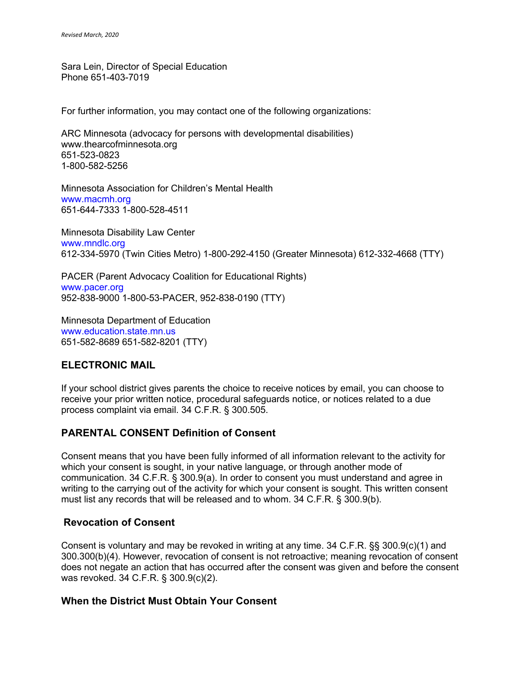Sara Lein, Director of Special Education Phone 651-403-7019

For further information, you may contact one of the following organizations:

ARC Minnesota (advocacy for persons with developmental disabilities) www.thearcofminnesota.org 651-523-0823 1-800-582-5256

Minnesota Association for Children's Mental Health www.macmh.org 651-644-7333 1-800-528-4511

Minnesota Disability Law Center www.mndlc.org 612-334-5970 (Twin Cities Metro) 1-800-292-4150 (Greater Minnesota) 612-332-4668 (TTY)

PACER (Parent Advocacy Coalition for Educational Rights) www.pacer.org 952-838-9000 1-800-53-PACER, 952-838-0190 (TTY)

Minnesota Department of Education www.education.state.mn.us 651-582-8689 651-582-8201 (TTY)

# **ELECTRONIC MAIL**

If your school district gives parents the choice to receive notices by email, you can choose to receive your prior written notice, procedural safeguards notice, or notices related to a due process complaint via email. 34 C.F.R. § 300.505.

# **PARENTAL CONSENT Definition of Consent**

Consent means that you have been fully informed of all information relevant to the activity for which your consent is sought, in your native language, or through another mode of communication. 34 C.F.R. § 300.9(a). In order to consent you must understand and agree in writing to the carrying out of the activity for which your consent is sought. This written consent must list any records that will be released and to whom. 34 C.F.R. § 300.9(b).

## **Revocation of Consent**

Consent is voluntary and may be revoked in writing at any time. 34 C.F.R. §§ 300.9(c)(1) and 300.300(b)(4). However, revocation of consent is not retroactive; meaning revocation of consent does not negate an action that has occurred after the consent was given and before the consent was revoked. 34 C.F.R. § 300.9(c)(2).

## **When the District Must Obtain Your Consent**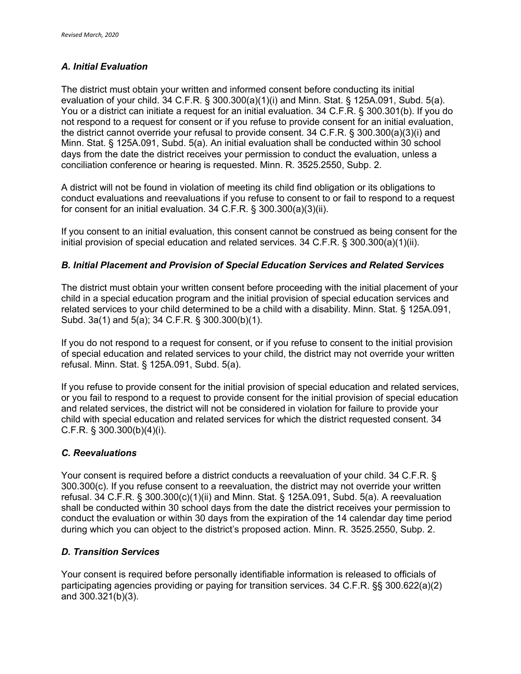#### *A. Initial Evaluation*

The district must obtain your written and informed consent before conducting its initial evaluation of your child. 34 C.F.R. § 300.300(a)(1)(i) and Minn. Stat. § 125A.091, Subd. 5(a). You or a district can initiate a request for an initial evaluation. 34 C.F.R. § 300.301(b). If you do not respond to a request for consent or if you refuse to provide consent for an initial evaluation, the district cannot override your refusal to provide consent. 34 C.F.R. § 300.300(a)(3)(i) and Minn. Stat. § 125A.091, Subd. 5(a). An initial evaluation shall be conducted within 30 school days from the date the district receives your permission to conduct the evaluation, unless a conciliation conference or hearing is requested. Minn. R. 3525.2550, Subp. 2.

A district will not be found in violation of meeting its child find obligation or its obligations to conduct evaluations and reevaluations if you refuse to consent to or fail to respond to a request for consent for an initial evaluation. 34 C.F.R. § 300.300(a)(3)(ii).

If you consent to an initial evaluation, this consent cannot be construed as being consent for the initial provision of special education and related services. 34 C.F.R. § 300.300(a)(1)(ii).

#### *B. Initial Placement and Provision of Special Education Services and Related Services*

The district must obtain your written consent before proceeding with the initial placement of your child in a special education program and the initial provision of special education services and related services to your child determined to be a child with a disability. Minn. Stat. § 125A.091, Subd. 3a(1) and 5(a); 34 C.F.R. § 300.300(b)(1).

If you do not respond to a request for consent, or if you refuse to consent to the initial provision of special education and related services to your child, the district may not override your written refusal. Minn. Stat. § 125A.091, Subd. 5(a).

If you refuse to provide consent for the initial provision of special education and related services, or you fail to respond to a request to provide consent for the initial provision of special education and related services, the district will not be considered in violation for failure to provide your child with special education and related services for which the district requested consent. 34 C.F.R. § 300.300(b)(4)(i).

#### *C. Reevaluations*

Your consent is required before a district conducts a reevaluation of your child. 34 C.F.R. § 300.300(c). If you refuse consent to a reevaluation, the district may not override your written refusal. 34 C.F.R. § 300.300(c)(1)(ii) and Minn. Stat. § 125A.091, Subd. 5(a). A reevaluation shall be conducted within 30 school days from the date the district receives your permission to conduct the evaluation or within 30 days from the expiration of the 14 calendar day time period during which you can object to the district's proposed action. Minn. R. 3525.2550, Subp. 2.

#### *D. Transition Services*

Your consent is required before personally identifiable information is released to officials of participating agencies providing or paying for transition services. 34 C.F.R. §§ 300.622(a)(2) and 300.321(b)(3).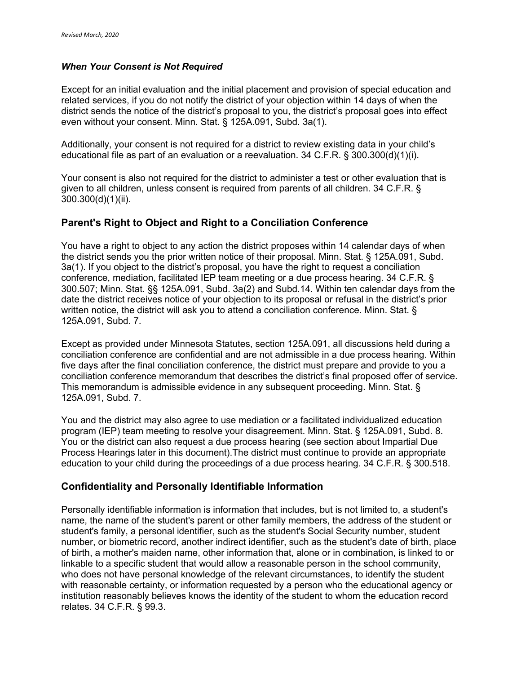#### *When Your Consent is Not Required*

Except for an initial evaluation and the initial placement and provision of special education and related services, if you do not notify the district of your objection within 14 days of when the district sends the notice of the district's proposal to you, the district's proposal goes into effect even without your consent. Minn. Stat. § 125A.091, Subd. 3a(1).

Additionally, your consent is not required for a district to review existing data in your child's educational file as part of an evaluation or a reevaluation. 34 C.F.R. § 300.300(d)(1)(i).

Your consent is also not required for the district to administer a test or other evaluation that is given to all children, unless consent is required from parents of all children. 34 C.F.R. § 300.300(d)(1)(ii).

#### **Parent's Right to Object and Right to a Conciliation Conference**

You have a right to object to any action the district proposes within 14 calendar days of when the district sends you the prior written notice of their proposal. Minn. Stat. § 125A.091, Subd. 3a(1). If you object to the district's proposal, you have the right to request a conciliation conference, mediation, facilitated IEP team meeting or a due process hearing. 34 C.F.R. § 300.507; Minn. Stat. §§ 125A.091, Subd. 3a(2) and Subd.14. Within ten calendar days from the date the district receives notice of your objection to its proposal or refusal in the district's prior written notice, the district will ask you to attend a conciliation conference. Minn. Stat. § 125A.091, Subd. 7.

Except as provided under Minnesota Statutes, section 125A.091, all discussions held during a conciliation conference are confidential and are not admissible in a due process hearing. Within five days after the final conciliation conference, the district must prepare and provide to you a conciliation conference memorandum that describes the district's final proposed offer of service. This memorandum is admissible evidence in any subsequent proceeding. Minn. Stat. § 125A.091, Subd. 7.

You and the district may also agree to use mediation or a facilitated individualized education program (IEP) team meeting to resolve your disagreement. Minn. Stat. § 125A.091, Subd. 8. You or the district can also request a due process hearing (see section about Impartial Due Process Hearings later in this document).The district must continue to provide an appropriate education to your child during the proceedings of a due process hearing. 34 C.F.R. § 300.518.

#### **Confidentiality and Personally Identifiable Information**

Personally identifiable information is information that includes, but is not limited to, a student's name, the name of the student's parent or other family members, the address of the student or student's family, a personal identifier, such as the student's Social Security number, student number, or biometric record, another indirect identifier, such as the student's date of birth, place of birth, a mother's maiden name, other information that, alone or in combination, is linked to or linkable to a specific student that would allow a reasonable person in the school community, who does not have personal knowledge of the relevant circumstances, to identify the student with reasonable certainty, or information requested by a person who the educational agency or institution reasonably believes knows the identity of the student to whom the education record relates. 34 C.F.R. § 99.3.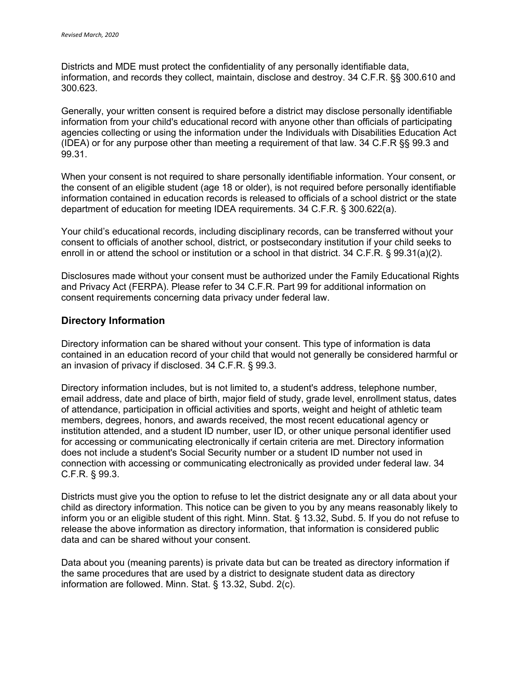Districts and MDE must protect the confidentiality of any personally identifiable data, information, and records they collect, maintain, disclose and destroy. 34 C.F.R. §§ 300.610 and 300.623.

Generally, your written consent is required before a district may disclose personally identifiable information from your child's educational record with anyone other than officials of participating agencies collecting or using the information under the Individuals with Disabilities Education Act (IDEA) or for any purpose other than meeting a requirement of that law. 34 C.F.R §§ 99.3 and 99.31.

When your consent is not required to share personally identifiable information. Your consent, or the consent of an eligible student (age 18 or older), is not required before personally identifiable information contained in education records is released to officials of a school district or the state department of education for meeting IDEA requirements. 34 C.F.R. § 300.622(a).

Your child's educational records, including disciplinary records, can be transferred without your consent to officials of another school, district, or postsecondary institution if your child seeks to enroll in or attend the school or institution or a school in that district. 34 C.F.R. § 99.31(a)(2).

Disclosures made without your consent must be authorized under the Family Educational Rights and Privacy Act (FERPA). Please refer to 34 C.F.R. Part 99 for additional information on consent requirements concerning data privacy under federal law.

#### **Directory Information**

Directory information can be shared without your consent. This type of information is data contained in an education record of your child that would not generally be considered harmful or an invasion of privacy if disclosed. 34 C.F.R. § 99.3.

Directory information includes, but is not limited to, a student's address, telephone number, email address, date and place of birth, major field of study, grade level, enrollment status, dates of attendance, participation in official activities and sports, weight and height of athletic team members, degrees, honors, and awards received, the most recent educational agency or institution attended, and a student ID number, user ID, or other unique personal identifier used for accessing or communicating electronically if certain criteria are met. Directory information does not include a student's Social Security number or a student ID number not used in connection with accessing or communicating electronically as provided under federal law. 34 C.F.R. § 99.3.

Districts must give you the option to refuse to let the district designate any or all data about your child as directory information. This notice can be given to you by any means reasonably likely to inform you or an eligible student of this right. Minn. Stat. § 13.32, Subd. 5. If you do not refuse to release the above information as directory information, that information is considered public data and can be shared without your consent.

Data about you (meaning parents) is private data but can be treated as directory information if the same procedures that are used by a district to designate student data as directory information are followed. Minn. Stat. § 13.32, Subd. 2(c).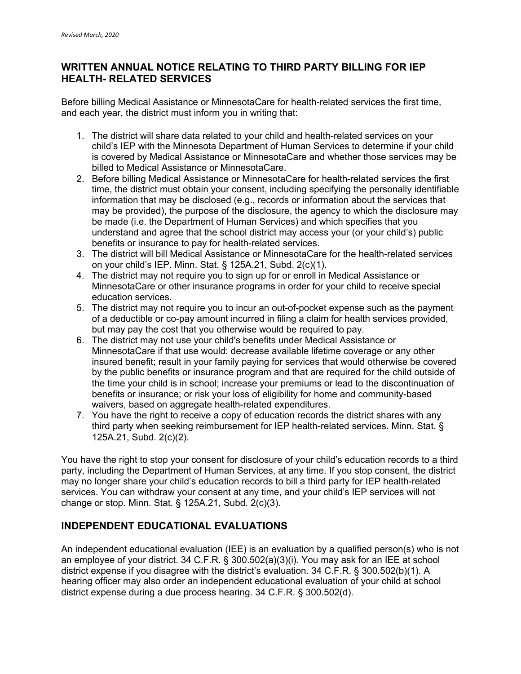# **WRITTEN ANNUAL NOTICE RELATING TO THIRD PARTY BILLING FOR IEP HEALTH- RELATED SERVICES**

Before billing Medical Assistance or MinnesotaCare for health-related services the first time, and each year, the district must inform you in writing that:

- 1. The district will share data related to your child and health-related services on your child's IEP with the Minnesota Department of Human Services to determine if your child is covered by Medical Assistance or MinnesotaCare and whether those services may be billed to Medical Assistance or MinnesotaCare.
- 2. Before billing Medical Assistance or MinnesotaCare for health-related services the first time, the district must obtain your consent, including specifying the personally identifiable information that may be disclosed (e.g., records or information about the services that may be provided), the purpose of the disclosure, the agency to which the disclosure may be made (i.e. the Department of Human Services) and which specifies that you understand and agree that the school district may access your (or your child's) public benefits or insurance to pay for health-related services.
- 3. The district will bill Medical Assistance or MinnesotaCare for the health-related services on your child's IEP. Minn. Stat. § 125A.21, Subd. 2(c)(1).
- 4. The district may not require you to sign up for or enroll in Medical Assistance or MinnesotaCare or other insurance programs in order for your child to receive special education services.
- 5. The district may not require you to incur an out-of-pocket expense such as the payment of a deductible or co-pay amount incurred in filing a claim for health services provided, but may pay the cost that you otherwise would be required to pay.
- 6. The district may not use your child's benefits under Medical Assistance or MinnesotaCare if that use would: decrease available lifetime coverage or any other insured benefit; result in your family paying for services that would otherwise be covered by the public benefits or insurance program and that are required for the child outside of the time your child is in school; increase your premiums or lead to the discontinuation of benefits or insurance; or risk your loss of eligibility for home and community-based waivers, based on aggregate health-related expenditures.
- 7. You have the right to receive a copy of education records the district shares with any third party when seeking reimbursement for IEP health-related services. Minn. Stat. § 125A.21, Subd. 2(c)(2).

You have the right to stop your consent for disclosure of your child's education records to a third party, including the Department of Human Services, at any time. If you stop consent, the district may no longer share your child's education records to bill a third party for IEP health-related services. You can withdraw your consent at any time, and your child's IEP services will not change or stop. Minn. Stat. § 125A.21, Subd. 2(c)(3).

# **INDEPENDENT EDUCATIONAL EVALUATIONS**

An independent educational evaluation (IEE) is an evaluation by a qualified person(s) who is not an employee of your district. 34 C.F.R. § 300.502(a)(3)(i). You may ask for an IEE at school district expense if you disagree with the district's evaluation. 34 C.F.R. § 300.502(b)(1). A hearing officer may also order an independent educational evaluation of your child at school district expense during a due process hearing. 34 C.F.R. § 300.502(d).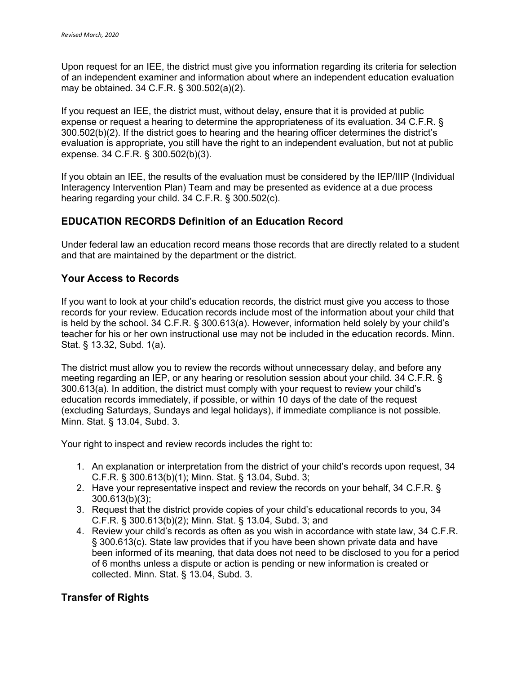Upon request for an IEE, the district must give you information regarding its criteria for selection of an independent examiner and information about where an independent education evaluation may be obtained. 34 C.F.R. § 300.502(a)(2).

If you request an IEE, the district must, without delay, ensure that it is provided at public expense or request a hearing to determine the appropriateness of its evaluation. 34 C.F.R. § 300.502(b)(2). If the district goes to hearing and the hearing officer determines the district's evaluation is appropriate, you still have the right to an independent evaluation, but not at public expense. 34 C.F.R. § 300.502(b)(3).

If you obtain an IEE, the results of the evaluation must be considered by the IEP/IIIP (Individual Interagency Intervention Plan) Team and may be presented as evidence at a due process hearing regarding your child. 34 C.F.R. § 300.502(c).

## **EDUCATION RECORDS Definition of an Education Record**

Under federal law an education record means those records that are directly related to a student and that are maintained by the department or the district.

#### **Your Access to Records**

If you want to look at your child's education records, the district must give you access to those records for your review. Education records include most of the information about your child that is held by the school. 34 C.F.R. § 300.613(a). However, information held solely by your child's teacher for his or her own instructional use may not be included in the education records. Minn. Stat. § 13.32, Subd. 1(a).

The district must allow you to review the records without unnecessary delay, and before any meeting regarding an IEP, or any hearing or resolution session about your child. 34 C.F.R. § 300.613(a). In addition, the district must comply with your request to review your child's education records immediately, if possible, or within 10 days of the date of the request (excluding Saturdays, Sundays and legal holidays), if immediate compliance is not possible. Minn. Stat. § 13.04, Subd. 3.

Your right to inspect and review records includes the right to:

- 1. An explanation or interpretation from the district of your child's records upon request, 34 C.F.R. § 300.613(b)(1); Minn. Stat. § 13.04, Subd. 3;
- 2. Have your representative inspect and review the records on your behalf, 34 C.F.R. § 300.613(b)(3);
- 3. Request that the district provide copies of your child's educational records to you, 34 C.F.R. § 300.613(b)(2); Minn. Stat. § 13.04, Subd. 3; and
- 4. Review your child's records as often as you wish in accordance with state law, 34 C.F.R. § 300.613(c). State law provides that if you have been shown private data and have been informed of its meaning, that data does not need to be disclosed to you for a period of 6 months unless a dispute or action is pending or new information is created or collected. Minn. Stat. § 13.04, Subd. 3.

## **Transfer of Rights**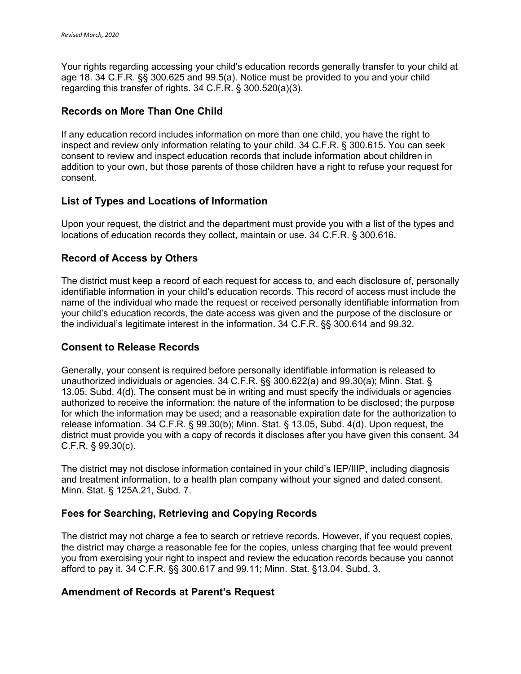Your rights regarding accessing your child's education records generally transfer to your child at age 18. 34 C.F.R. §§ 300.625 and 99.5(a). Notice must be provided to you and your child regarding this transfer of rights. 34 C.F.R. § 300.520(a)(3).

## **Records on More Than One Child**

If any education record includes information on more than one child, you have the right to inspect and review only information relating to your child. 34 C.F.R. § 300.615. You can seek consent to review and inspect education records that include information about children in addition to your own, but those parents of those children have a right to refuse your request for consent.

## **List of Types and Locations of Information**

Upon your request, the district and the department must provide you with a list of the types and locations of education records they collect, maintain or use. 34 C.F.R. § 300.616.

# **Record of Access by Others**

The district must keep a record of each request for access to, and each disclosure of, personally identifiable information in your child's education records. This record of access must include the name of the individual who made the request or received personally identifiable information from your child's education records, the date access was given and the purpose of the disclosure or the individual's legitimate interest in the information. 34 C.F.R. §§ 300.614 and 99.32.

## **Consent to Release Records**

Generally, your consent is required before personally identifiable information is released to unauthorized individuals or agencies. 34 C.F.R. §§ 300.622(a) and 99.30(a); Minn. Stat. § 13.05, Subd. 4(d). The consent must be in writing and must specify the individuals or agencies authorized to receive the information: the nature of the information to be disclosed; the purpose for which the information may be used; and a reasonable expiration date for the authorization to release information. 34 C.F.R. § 99.30(b); Minn. Stat. § 13.05, Subd. 4(d). Upon request, the district must provide you with a copy of records it discloses after you have given this consent. 34 C.F.R. § 99.30(c).

The district may not disclose information contained in your child's IEP/IIIP, including diagnosis and treatment information, to a health plan company without your signed and dated consent. Minn. Stat. § 125A.21, Subd. 7.

## **Fees for Searching, Retrieving and Copying Records**

The district may not charge a fee to search or retrieve records. However, if you request copies, the district may charge a reasonable fee for the copies, unless charging that fee would prevent you from exercising your right to inspect and review the education records because you cannot afford to pay it. 34 C.F.R. §§ 300.617 and 99.11; Minn. Stat. §13.04, Subd. 3.

## **Amendment of Records at Parent's Request**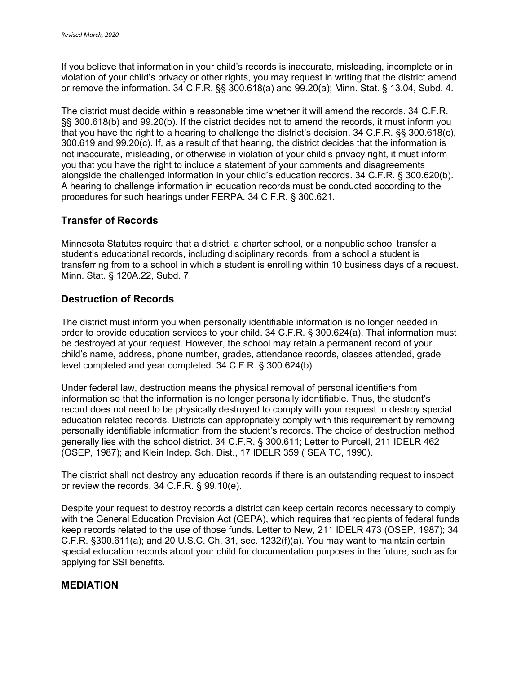If you believe that information in your child's records is inaccurate, misleading, incomplete or in violation of your child's privacy or other rights, you may request in writing that the district amend or remove the information. 34 C.F.R. §§ 300.618(a) and 99.20(a); Minn. Stat. § 13.04, Subd. 4.

The district must decide within a reasonable time whether it will amend the records. 34 C.F.R. §§ 300.618(b) and 99.20(b). If the district decides not to amend the records, it must inform you that you have the right to a hearing to challenge the district's decision. 34 C.F.R. §§ 300.618(c), 300.619 and 99.20(c). If, as a result of that hearing, the district decides that the information is not inaccurate, misleading, or otherwise in violation of your child's privacy right, it must inform you that you have the right to include a statement of your comments and disagreements alongside the challenged information in your child's education records. 34 C.F.R. § 300.620(b). A hearing to challenge information in education records must be conducted according to the procedures for such hearings under FERPA. 34 C.F.R. § 300.621.

## **Transfer of Records**

Minnesota Statutes require that a district, a charter school, or a nonpublic school transfer a student's educational records, including disciplinary records, from a school a student is transferring from to a school in which a student is enrolling within 10 business days of a request. Minn. Stat. § 120A.22, Subd. 7.

## **Destruction of Records**

The district must inform you when personally identifiable information is no longer needed in order to provide education services to your child. 34 C.F.R. § 300.624(a). That information must be destroyed at your request. However, the school may retain a permanent record of your child's name, address, phone number, grades, attendance records, classes attended, grade level completed and year completed. 34 C.F.R. § 300.624(b).

Under federal law, destruction means the physical removal of personal identifiers from information so that the information is no longer personally identifiable. Thus, the student's record does not need to be physically destroyed to comply with your request to destroy special education related records. Districts can appropriately comply with this requirement by removing personally identifiable information from the student's records. The choice of destruction method generally lies with the school district. 34 C.F.R. § 300.611; Letter to Purcell, 211 IDELR 462 (OSEP, 1987); and Klein Indep. Sch. Dist., 17 IDELR 359 ( SEA TC, 1990).

The district shall not destroy any education records if there is an outstanding request to inspect or review the records. 34 C.F.R. § 99.10(e).

Despite your request to destroy records a district can keep certain records necessary to comply with the General Education Provision Act (GEPA), which requires that recipients of federal funds keep records related to the use of those funds. Letter to New, 211 IDELR 473 (OSEP, 1987); 34 C.F.R. §300.611(a); and 20 U.S.C. Ch. 31, sec. 1232(f)(a). You may want to maintain certain special education records about your child for documentation purposes in the future, such as for applying for SSI benefits.

## **MEDIATION**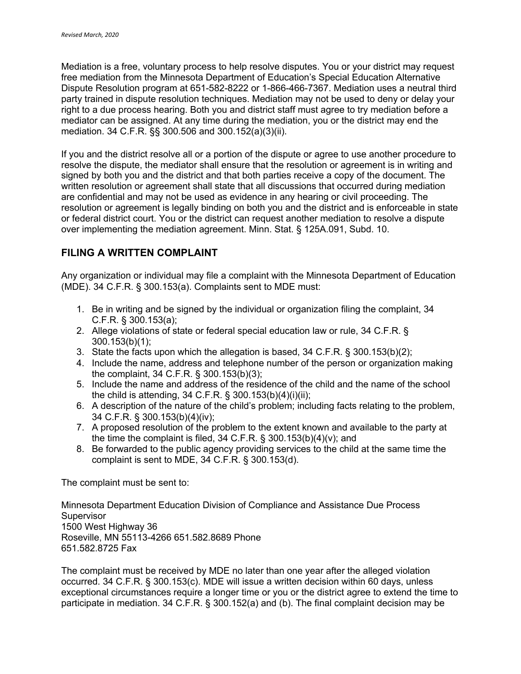Mediation is a free, voluntary process to help resolve disputes. You or your district may request free mediation from the Minnesota Department of Education's Special Education Alternative Dispute Resolution program at 651-582-8222 or 1-866-466-7367. Mediation uses a neutral third party trained in dispute resolution techniques. Mediation may not be used to deny or delay your right to a due process hearing. Both you and district staff must agree to try mediation before a mediator can be assigned. At any time during the mediation, you or the district may end the mediation. 34 C.F.R. §§ 300.506 and 300.152(a)(3)(ii).

If you and the district resolve all or a portion of the dispute or agree to use another procedure to resolve the dispute, the mediator shall ensure that the resolution or agreement is in writing and signed by both you and the district and that both parties receive a copy of the document. The written resolution or agreement shall state that all discussions that occurred during mediation are confidential and may not be used as evidence in any hearing or civil proceeding. The resolution or agreement is legally binding on both you and the district and is enforceable in state or federal district court. You or the district can request another mediation to resolve a dispute over implementing the mediation agreement. Minn. Stat. § 125A.091, Subd. 10.

# **FILING A WRITTEN COMPLAINT**

Any organization or individual may file a complaint with the Minnesota Department of Education (MDE). 34 C.F.R. § 300.153(a). Complaints sent to MDE must:

- 1. Be in writing and be signed by the individual or organization filing the complaint, 34 C.F.R. § 300.153(a);
- 2. Allege violations of state or federal special education law or rule, 34 C.F.R. § 300.153(b)(1);
- 3. State the facts upon which the allegation is based, 34 C.F.R. § 300.153(b)(2);
- 4. Include the name, address and telephone number of the person or organization making the complaint, 34 C.F.R. § 300.153(b)(3);
- 5. Include the name and address of the residence of the child and the name of the school the child is attending, 34 C.F.R. § 300.153(b)(4)(i)(ii);
- 6. A description of the nature of the child's problem; including facts relating to the problem, 34 C.F.R. § 300.153(b)(4)(iv);
- 7. A proposed resolution of the problem to the extent known and available to the party at the time the complaint is filed, 34 C.F.R. § 300.153(b)(4)(v); and
- 8. Be forwarded to the public agency providing services to the child at the same time the complaint is sent to MDE, 34 C.F.R. § 300.153(d).

The complaint must be sent to:

Minnesota Department Education Division of Compliance and Assistance Due Process Supervisor 1500 West Highway 36 Roseville, MN 55113-4266 651.582.8689 Phone 651.582.8725 Fax

The complaint must be received by MDE no later than one year after the alleged violation occurred. 34 C.F.R. § 300.153(c). MDE will issue a written decision within 60 days, unless exceptional circumstances require a longer time or you or the district agree to extend the time to participate in mediation. 34 C.F.R. § 300.152(a) and (b). The final complaint decision may be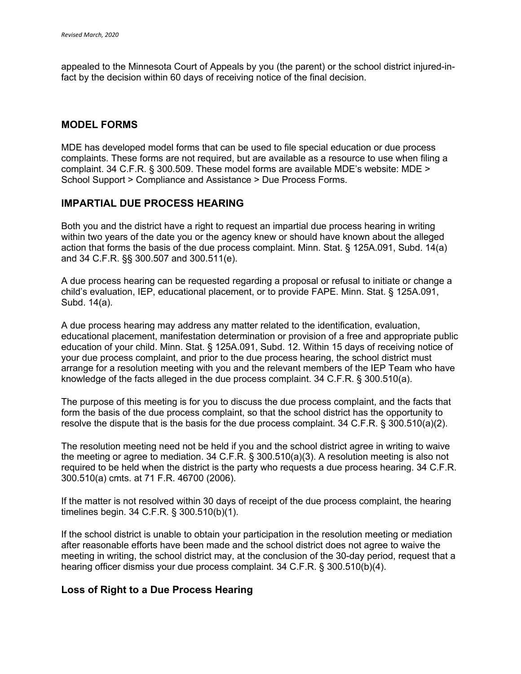appealed to the Minnesota Court of Appeals by you (the parent) or the school district injured-infact by the decision within 60 days of receiving notice of the final decision.

#### **MODEL FORMS**

MDE has developed model forms that can be used to file special education or due process complaints. These forms are not required, but are available as a resource to use when filing a complaint. 34 C.F.R. § 300.509. These model forms are available MDE's website: MDE > School Support > Compliance and Assistance > Due Process Forms.

#### **IMPARTIAL DUE PROCESS HEARING**

Both you and the district have a right to request an impartial due process hearing in writing within two years of the date you or the agency knew or should have known about the alleged action that forms the basis of the due process complaint. Minn. Stat. § 125A.091, Subd. 14(a) and 34 C.F.R. §§ 300.507 and 300.511(e).

A due process hearing can be requested regarding a proposal or refusal to initiate or change a child's evaluation, IEP, educational placement, or to provide FAPE. Minn. Stat. § 125A.091, Subd. 14(a).

A due process hearing may address any matter related to the identification, evaluation, educational placement, manifestation determination or provision of a free and appropriate public education of your child. Minn. Stat. § 125A.091, Subd. 12. Within 15 days of receiving notice of your due process complaint, and prior to the due process hearing, the school district must arrange for a resolution meeting with you and the relevant members of the IEP Team who have knowledge of the facts alleged in the due process complaint. 34 C.F.R. § 300.510(a).

The purpose of this meeting is for you to discuss the due process complaint, and the facts that form the basis of the due process complaint, so that the school district has the opportunity to resolve the dispute that is the basis for the due process complaint. 34 C.F.R. § 300.510(a)(2).

The resolution meeting need not be held if you and the school district agree in writing to waive the meeting or agree to mediation. 34 C.F.R. § 300.510(a)(3). A resolution meeting is also not required to be held when the district is the party who requests a due process hearing. 34 C.F.R. 300.510(a) cmts. at 71 F.R. 46700 (2006).

If the matter is not resolved within 30 days of receipt of the due process complaint, the hearing timelines begin. 34 C.F.R. § 300.510(b)(1).

If the school district is unable to obtain your participation in the resolution meeting or mediation after reasonable efforts have been made and the school district does not agree to waive the meeting in writing, the school district may, at the conclusion of the 30-day period, request that a hearing officer dismiss your due process complaint. 34 C.F.R. § 300.510(b)(4).

#### **Loss of Right to a Due Process Hearing**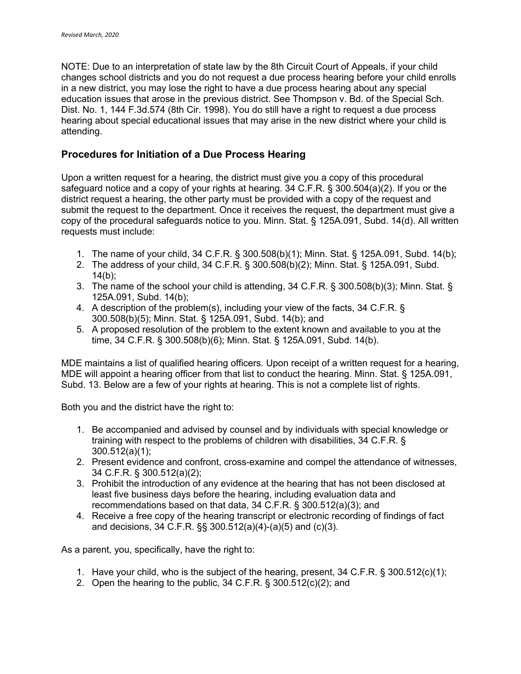NOTE: Due to an interpretation of state law by the 8th Circuit Court of Appeals, if your child changes school districts and you do not request a due process hearing before your child enrolls in a new district, you may lose the right to have a due process hearing about any special education issues that arose in the previous district. See Thompson v. Bd. of the Special Sch. Dist. No. 1, 144 F.3d.574 (8th Cir. 1998). You do still have a right to request a due process hearing about special educational issues that may arise in the new district where your child is attending.

## **Procedures for Initiation of a Due Process Hearing**

Upon a written request for a hearing, the district must give you a copy of this procedural safeguard notice and a copy of your rights at hearing. 34 C.F.R. § 300.504(a)(2). If you or the district request a hearing, the other party must be provided with a copy of the request and submit the request to the department. Once it receives the request, the department must give a copy of the procedural safeguards notice to you. Minn. Stat. § 125A.091, Subd. 14(d). All written requests must include:

- 1. The name of your child, 34 C.F.R. § 300.508(b)(1); Minn. Stat. § 125A.091, Subd. 14(b);
- 2. The address of your child, 34 C.F.R. § 300.508(b)(2); Minn. Stat. § 125A.091, Subd.  $14(b)$ ;
- 3. The name of the school your child is attending, 34 C.F.R. § 300.508(b)(3); Minn. Stat. § 125A.091, Subd. 14(b);
- 4. A description of the problem(s), including your view of the facts, 34 C.F.R. § 300.508(b)(5); Minn. Stat. § 125A.091, Subd. 14(b); and
- 5. A proposed resolution of the problem to the extent known and available to you at the time, 34 C.F.R. § 300.508(b)(6); Minn. Stat. § 125A.091, Subd. 14(b).

MDE maintains a list of qualified hearing officers. Upon receipt of a written request for a hearing, MDE will appoint a hearing officer from that list to conduct the hearing. Minn. Stat. § 125A.091, Subd. 13. Below are a few of your rights at hearing. This is not a complete list of rights.

Both you and the district have the right to:

- 1. Be accompanied and advised by counsel and by individuals with special knowledge or training with respect to the problems of children with disabilities, 34 C.F.R. § 300.512(a)(1);
- 2. Present evidence and confront, cross-examine and compel the attendance of witnesses, 34 C.F.R. § 300.512(a)(2);
- 3. Prohibit the introduction of any evidence at the hearing that has not been disclosed at least five business days before the hearing, including evaluation data and recommendations based on that data, 34 C.F.R. § 300.512(a)(3); and
- 4. Receive a free copy of the hearing transcript or electronic recording of findings of fact and decisions, 34 C.F.R. §§ 300.512(a)(4)-(a)(5) and (c)(3).

As a parent, you, specifically, have the right to:

- 1. Have your child, who is the subject of the hearing, present, 34 C.F.R. § 300.512(c)(1);
- 2. Open the hearing to the public, 34 C.F.R. § 300.512(c)(2); and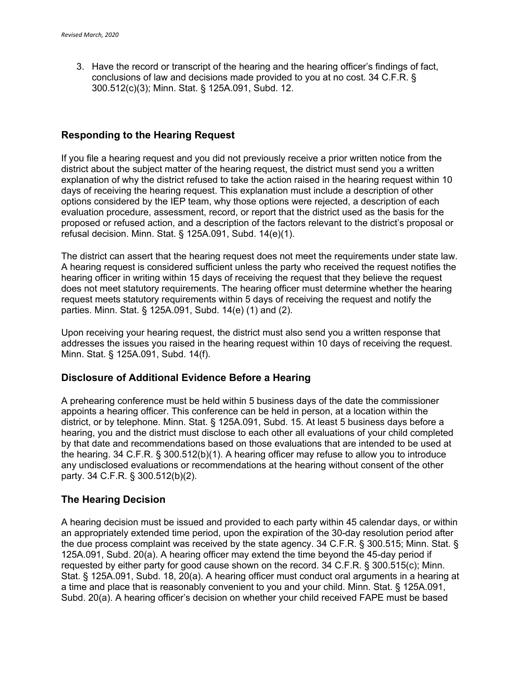3. Have the record or transcript of the hearing and the hearing officer's findings of fact, conclusions of law and decisions made provided to you at no cost. 34 C.F.R. § 300.512(c)(3); Minn. Stat. § 125A.091, Subd. 12.

#### **Responding to the Hearing Request**

If you file a hearing request and you did not previously receive a prior written notice from the district about the subject matter of the hearing request, the district must send you a written explanation of why the district refused to take the action raised in the hearing request within 10 days of receiving the hearing request. This explanation must include a description of other options considered by the IEP team, why those options were rejected, a description of each evaluation procedure, assessment, record, or report that the district used as the basis for the proposed or refused action, and a description of the factors relevant to the district's proposal or refusal decision. Minn. Stat. § 125A.091, Subd. 14(e)(1).

The district can assert that the hearing request does not meet the requirements under state law. A hearing request is considered sufficient unless the party who received the request notifies the hearing officer in writing within 15 days of receiving the request that they believe the request does not meet statutory requirements. The hearing officer must determine whether the hearing request meets statutory requirements within 5 days of receiving the request and notify the parties. Minn. Stat. § 125A.091, Subd. 14(e) (1) and (2).

Upon receiving your hearing request, the district must also send you a written response that addresses the issues you raised in the hearing request within 10 days of receiving the request. Minn. Stat. § 125A.091, Subd. 14(f).

#### **Disclosure of Additional Evidence Before a Hearing**

A prehearing conference must be held within 5 business days of the date the commissioner appoints a hearing officer. This conference can be held in person, at a location within the district, or by telephone. Minn. Stat. § 125A.091, Subd. 15. At least 5 business days before a hearing, you and the district must disclose to each other all evaluations of your child completed by that date and recommendations based on those evaluations that are intended to be used at the hearing. 34 C.F.R. § 300.512(b)(1). A hearing officer may refuse to allow you to introduce any undisclosed evaluations or recommendations at the hearing without consent of the other party. 34 C.F.R. § 300.512(b)(2).

#### **The Hearing Decision**

A hearing decision must be issued and provided to each party within 45 calendar days, or within an appropriately extended time period, upon the expiration of the 30-day resolution period after the due process complaint was received by the state agency. 34 C.F.R. § 300.515; Minn. Stat. § 125A.091, Subd. 20(a). A hearing officer may extend the time beyond the 45-day period if requested by either party for good cause shown on the record. 34 C.F.R. § 300.515(c); Minn. Stat. § 125A.091, Subd. 18, 20(a). A hearing officer must conduct oral arguments in a hearing at a time and place that is reasonably convenient to you and your child. Minn. Stat. § 125A.091, Subd. 20(a). A hearing officer's decision on whether your child received FAPE must be based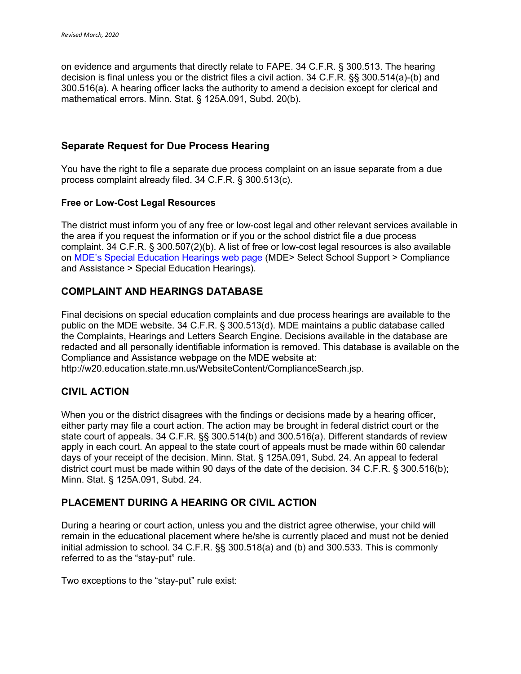on evidence and arguments that directly relate to FAPE. 34 C.F.R. § 300.513. The hearing decision is final unless you or the district files a civil action. 34 C.F.R. §§ 300.514(a)-(b) and 300.516(a). A hearing officer lacks the authority to amend a decision except for clerical and mathematical errors. Minn. Stat. § 125A.091, Subd. 20(b).

#### **Separate Request for Due Process Hearing**

You have the right to file a separate due process complaint on an issue separate from a due process complaint already filed. 34 C.F.R. § 300.513(c).

#### **Free or Low-Cost Legal Resources**

The district must inform you of any free or low-cost legal and other relevant services available in the area if you request the information or if you or the school district file a due process complaint. 34 C.F.R. § 300.507(2)(b). A list of free or low-cost legal resources is also available on MDE's Special Education Hearings web page (MDE> Select School Support > Compliance and Assistance > Special Education Hearings).

# **COMPLAINT AND HEARINGS DATABASE**

Final decisions on special education complaints and due process hearings are available to the public on the MDE website. 34 C.F.R. § 300.513(d). MDE maintains a public database called the Complaints, Hearings and Letters Search Engine. Decisions available in the database are redacted and all personally identifiable information is removed. This database is available on the Compliance and Assistance webpage on the MDE website at: http://w20.education.state.mn.us/WebsiteContent/ComplianceSearch.jsp.

## **CIVIL ACTION**

When you or the district disagrees with the findings or decisions made by a hearing officer, either party may file a court action. The action may be brought in federal district court or the state court of appeals. 34 C.F.R. §§ 300.514(b) and 300.516(a). Different standards of review apply in each court. An appeal to the state court of appeals must be made within 60 calendar days of your receipt of the decision. Minn. Stat. § 125A.091, Subd. 24. An appeal to federal district court must be made within 90 days of the date of the decision. 34 C.F.R. § 300.516(b); Minn. Stat. § 125A.091, Subd. 24.

## **PLACEMENT DURING A HEARING OR CIVIL ACTION**

During a hearing or court action, unless you and the district agree otherwise, your child will remain in the educational placement where he/she is currently placed and must not be denied initial admission to school. 34 C.F.R. §§ 300.518(a) and (b) and 300.533. This is commonly referred to as the "stay-put" rule.

Two exceptions to the "stay-put" rule exist: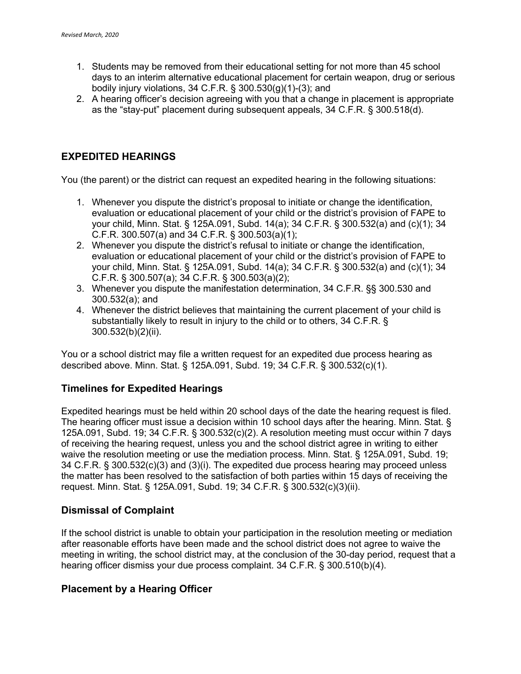- 1. Students may be removed from their educational setting for not more than 45 school days to an interim alternative educational placement for certain weapon, drug or serious bodily injury violations, 34 C.F.R. § 300.530(g)(1)-(3); and
- 2. A hearing officer's decision agreeing with you that a change in placement is appropriate as the "stay-put" placement during subsequent appeals, 34 C.F.R. § 300.518(d).

## **EXPEDITED HEARINGS**

You (the parent) or the district can request an expedited hearing in the following situations:

- 1. Whenever you dispute the district's proposal to initiate or change the identification, evaluation or educational placement of your child or the district's provision of FAPE to your child, Minn. Stat. § 125A.091, Subd. 14(a); 34 C.F.R. § 300.532(a) and (c)(1); 34 C.F.R. 300.507(a) and 34 C.F.R. § 300.503(a)(1);
- 2. Whenever you dispute the district's refusal to initiate or change the identification, evaluation or educational placement of your child or the district's provision of FAPE to your child, Minn. Stat. § 125A.091, Subd. 14(a); 34 C.F.R. § 300.532(a) and (c)(1); 34 C.F.R. § 300.507(a); 34 C.F.R. § 300.503(a)(2);
- 3. Whenever you dispute the manifestation determination, 34 C.F.R. §§ 300.530 and 300.532(a); and
- 4. Whenever the district believes that maintaining the current placement of your child is substantially likely to result in injury to the child or to others, 34 C.F.R. § 300.532(b)(2)(ii).

You or a school district may file a written request for an expedited due process hearing as described above. Minn. Stat. § 125A.091, Subd. 19; 34 C.F.R. § 300.532(c)(1).

## **Timelines for Expedited Hearings**

Expedited hearings must be held within 20 school days of the date the hearing request is filed. The hearing officer must issue a decision within 10 school days after the hearing. Minn. Stat. § 125A.091, Subd. 19; 34 C.F.R. § 300.532(c)(2). A resolution meeting must occur within 7 days of receiving the hearing request, unless you and the school district agree in writing to either waive the resolution meeting or use the mediation process. Minn. Stat. § 125A.091, Subd. 19; 34 C.F.R. § 300.532(c)(3) and (3)(i). The expedited due process hearing may proceed unless the matter has been resolved to the satisfaction of both parties within 15 days of receiving the request. Minn. Stat. § 125A.091, Subd. 19; 34 C.F.R. § 300.532(c)(3)(ii).

## **Dismissal of Complaint**

If the school district is unable to obtain your participation in the resolution meeting or mediation after reasonable efforts have been made and the school district does not agree to waive the meeting in writing, the school district may, at the conclusion of the 30-day period, request that a hearing officer dismiss your due process complaint. 34 C.F.R. § 300.510(b)(4).

## **Placement by a Hearing Officer**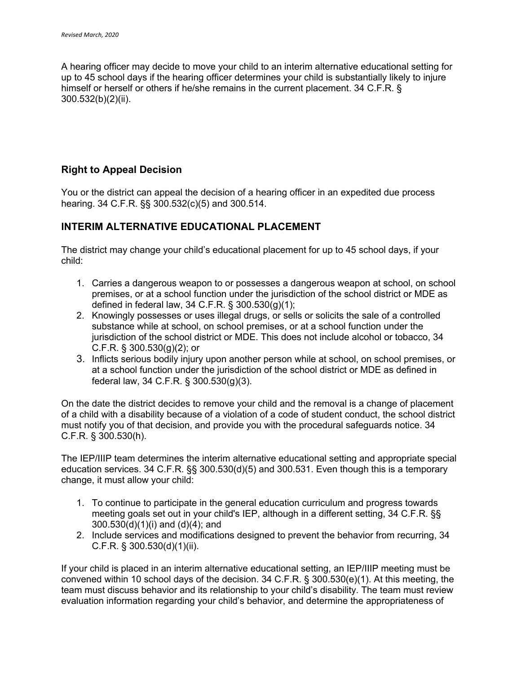A hearing officer may decide to move your child to an interim alternative educational setting for up to 45 school days if the hearing officer determines your child is substantially likely to injure himself or herself or others if he/she remains in the current placement. 34 C.F.R. § 300.532(b)(2)(ii).

## **Right to Appeal Decision**

You or the district can appeal the decision of a hearing officer in an expedited due process hearing. 34 C.F.R. §§ 300.532(c)(5) and 300.514.

## **INTERIM ALTERNATIVE EDUCATIONAL PLACEMENT**

The district may change your child's educational placement for up to 45 school days, if your child:

- 1. Carries a dangerous weapon to or possesses a dangerous weapon at school, on school premises, or at a school function under the jurisdiction of the school district or MDE as defined in federal law, 34 C.F.R. § 300.530(g)(1);
- 2. Knowingly possesses or uses illegal drugs, or sells or solicits the sale of a controlled substance while at school, on school premises, or at a school function under the jurisdiction of the school district or MDE. This does not include alcohol or tobacco, 34 C.F.R. § 300.530(g)(2); or
- 3. Inflicts serious bodily injury upon another person while at school, on school premises, or at a school function under the jurisdiction of the school district or MDE as defined in federal law, 34 C.F.R. § 300.530(g)(3).

On the date the district decides to remove your child and the removal is a change of placement of a child with a disability because of a violation of a code of student conduct, the school district must notify you of that decision, and provide you with the procedural safeguards notice. 34 C.F.R. § 300.530(h).

The IEP/IIIP team determines the interim alternative educational setting and appropriate special education services. 34 C.F.R. §§ 300.530(d)(5) and 300.531. Even though this is a temporary change, it must allow your child:

- 1. To continue to participate in the general education curriculum and progress towards meeting goals set out in your child's IEP, although in a different setting, 34 C.F.R. §§ 300.530(d)(1)(i) and (d)(4); and
- 2. Include services and modifications designed to prevent the behavior from recurring, 34 C.F.R. § 300.530(d)(1)(ii).

If your child is placed in an interim alternative educational setting, an IEP/IIIP meeting must be convened within 10 school days of the decision. 34 C.F.R. § 300.530(e)(1). At this meeting, the team must discuss behavior and its relationship to your child's disability. The team must review evaluation information regarding your child's behavior, and determine the appropriateness of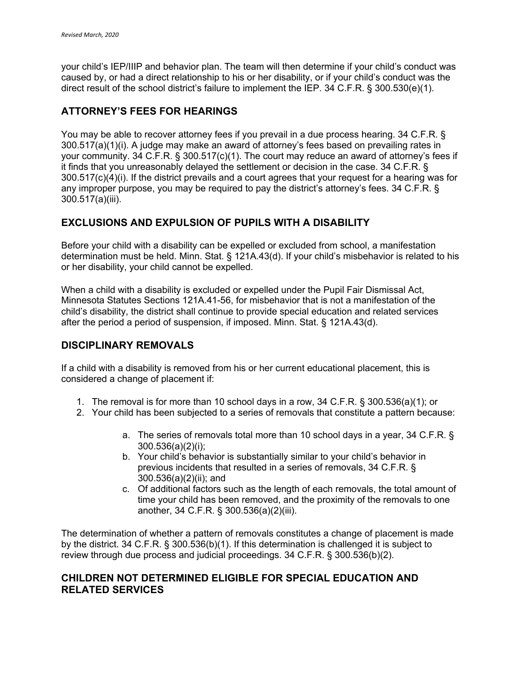your child's IEP/IIIP and behavior plan. The team will then determine if your child's conduct was caused by, or had a direct relationship to his or her disability, or if your child's conduct was the direct result of the school district's failure to implement the IEP. 34 C.F.R. § 300.530(e)(1).

# **ATTORNEY'S FEES FOR HEARINGS**

You may be able to recover attorney fees if you prevail in a due process hearing. 34 C.F.R. § 300.517(a)(1)(i). A judge may make an award of attorney's fees based on prevailing rates in your community. 34 C.F.R. § 300.517(c)(1). The court may reduce an award of attorney's fees if it finds that you unreasonably delayed the settlement or decision in the case. 34 C.F.R. § 300.517(c)(4)(i). If the district prevails and a court agrees that your request for a hearing was for any improper purpose, you may be required to pay the district's attorney's fees. 34 C.F.R. § 300.517(a)(iii).

# **EXCLUSIONS AND EXPULSION OF PUPILS WITH A DISABILITY**

Before your child with a disability can be expelled or excluded from school, a manifestation determination must be held. Minn. Stat. § 121A.43(d). If your child's misbehavior is related to his or her disability, your child cannot be expelled.

When a child with a disability is excluded or expelled under the Pupil Fair Dismissal Act, Minnesota Statutes Sections 121A.41-56, for misbehavior that is not a manifestation of the child's disability, the district shall continue to provide special education and related services after the period a period of suspension, if imposed. Minn. Stat. § 121A.43(d).

# **DISCIPLINARY REMOVALS**

If a child with a disability is removed from his or her current educational placement, this is considered a change of placement if:

- 1. The removal is for more than 10 school days in a row, 34 C.F.R. § 300.536(a)(1); or
- 2. Your child has been subjected to a series of removals that constitute a pattern because:
	- a. The series of removals total more than 10 school days in a year, 34 C.F.R. § 300.536(a)(2)(i);
	- b. Your child's behavior is substantially similar to your child's behavior in previous incidents that resulted in a series of removals, 34 C.F.R. § 300.536(a)(2)(ii); and
	- c. Of additional factors such as the length of each removals, the total amount of time your child has been removed, and the proximity of the removals to one another, 34 C.F.R. § 300.536(a)(2)(iii).

The determination of whether a pattern of removals constitutes a change of placement is made by the district. 34 C.F.R. § 300.536(b)(1). If this determination is challenged it is subject to review through due process and judicial proceedings. 34 C.F.R. § 300.536(b)(2).

## **CHILDREN NOT DETERMINED ELIGIBLE FOR SPECIAL EDUCATION AND RELATED SERVICES**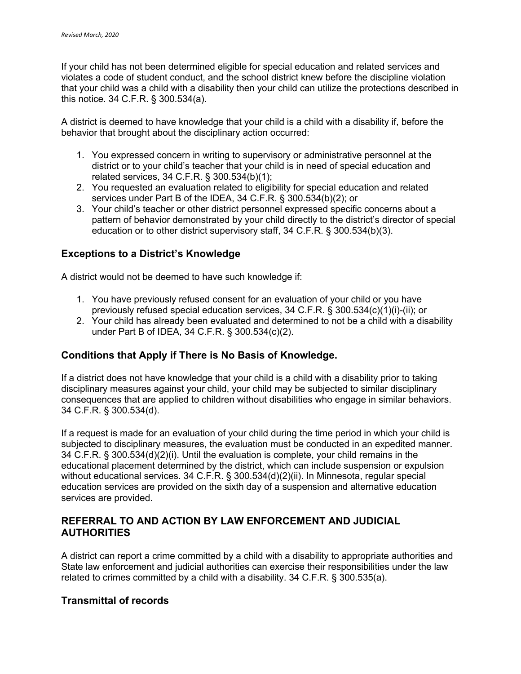If your child has not been determined eligible for special education and related services and violates a code of student conduct, and the school district knew before the discipline violation that your child was a child with a disability then your child can utilize the protections described in this notice. 34 C.F.R. § 300.534(a).

A district is deemed to have knowledge that your child is a child with a disability if, before the behavior that brought about the disciplinary action occurred:

- 1. You expressed concern in writing to supervisory or administrative personnel at the district or to your child's teacher that your child is in need of special education and related services, 34 C.F.R. § 300.534(b)(1);
- 2. You requested an evaluation related to eligibility for special education and related services under Part B of the IDEA, 34 C.F.R. § 300.534(b)(2); or
- 3. Your child's teacher or other district personnel expressed specific concerns about a pattern of behavior demonstrated by your child directly to the district's director of special education or to other district supervisory staff, 34 C.F.R. § 300.534(b)(3).

## **Exceptions to a District's Knowledge**

A district would not be deemed to have such knowledge if:

- 1. You have previously refused consent for an evaluation of your child or you have previously refused special education services, 34 C.F.R. § 300.534(c)(1)(i)-(ii); or
- 2. Your child has already been evaluated and determined to not be a child with a disability under Part B of IDEA, 34 C.F.R. § 300.534(c)(2).

## **Conditions that Apply if There is No Basis of Knowledge.**

If a district does not have knowledge that your child is a child with a disability prior to taking disciplinary measures against your child, your child may be subjected to similar disciplinary consequences that are applied to children without disabilities who engage in similar behaviors. 34 C.F.R. § 300.534(d).

If a request is made for an evaluation of your child during the time period in which your child is subjected to disciplinary measures, the evaluation must be conducted in an expedited manner. 34 C.F.R. § 300.534(d)(2)(i). Until the evaluation is complete, your child remains in the educational placement determined by the district, which can include suspension or expulsion without educational services. 34 C.F.R. § 300.534(d)(2)(ii). In Minnesota, regular special education services are provided on the sixth day of a suspension and alternative education services are provided.

## **REFERRAL TO AND ACTION BY LAW ENFORCEMENT AND JUDICIAL AUTHORITIES**

A district can report a crime committed by a child with a disability to appropriate authorities and State law enforcement and judicial authorities can exercise their responsibilities under the law related to crimes committed by a child with a disability. 34 C.F.R. § 300.535(a).

## **Transmittal of records**